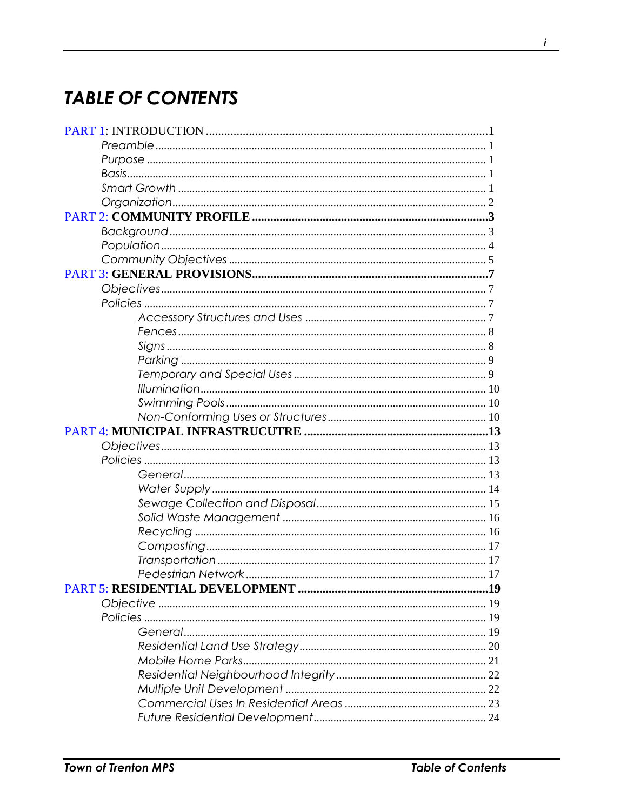## **TABLE OF CONTENTS**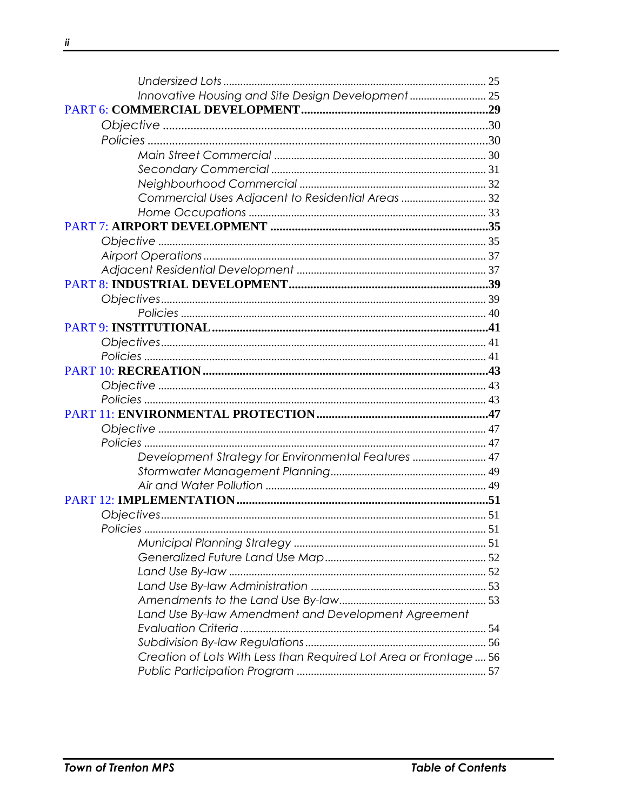| Innovative Housing and Site Design Development 25                 |  |
|-------------------------------------------------------------------|--|
|                                                                   |  |
|                                                                   |  |
|                                                                   |  |
|                                                                   |  |
|                                                                   |  |
|                                                                   |  |
| Commercial Uses Adjacent to Residential Areas  32                 |  |
|                                                                   |  |
|                                                                   |  |
|                                                                   |  |
|                                                                   |  |
|                                                                   |  |
|                                                                   |  |
|                                                                   |  |
|                                                                   |  |
|                                                                   |  |
|                                                                   |  |
|                                                                   |  |
|                                                                   |  |
|                                                                   |  |
|                                                                   |  |
|                                                                   |  |
|                                                                   |  |
|                                                                   |  |
| Development Strategy for Environmental Features  47               |  |
|                                                                   |  |
|                                                                   |  |
|                                                                   |  |
|                                                                   |  |
|                                                                   |  |
|                                                                   |  |
|                                                                   |  |
|                                                                   |  |
|                                                                   |  |
|                                                                   |  |
| Land Use By-law Amendment and Development Agreement               |  |
|                                                                   |  |
|                                                                   |  |
| Creation of Lots With Less than Required Lot Area or Frontage  56 |  |
|                                                                   |  |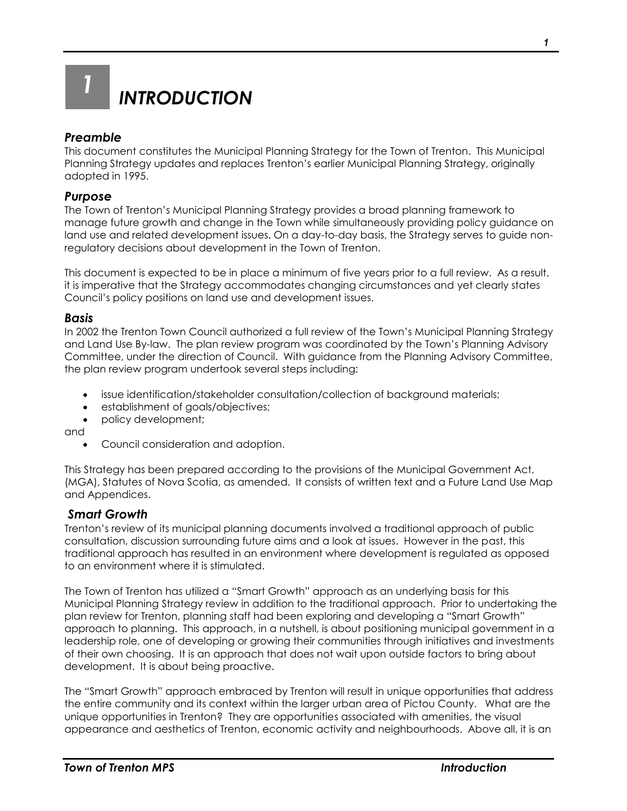<span id="page-2-0"></span>

## <span id="page-2-1"></span>*Preamble*

This document constitutes the Municipal Planning Strategy for the Town of Trenton. This Municipal Planning Strategy updates and replaces Trenton's earlier Municipal Planning Strategy, originally adopted in 1995.

## <span id="page-2-2"></span>*Purpose*

The Town of Trenton's Municipal Planning Strategy provides a broad planning framework to manage future growth and change in the Town while simultaneously providing policy guidance on land use and related development issues. On a day-to-day basis, the Strategy serves to guide nonregulatory decisions about development in the Town of Trenton.

This document is expected to be in place a minimum of five years prior to a full review. As a result, it is imperative that the Strategy accommodates changing circumstances and yet clearly states Council's policy positions on land use and development issues.

#### <span id="page-2-3"></span>*Basis*

In 2002 the Trenton Town Council authorized a full review of the Town's Municipal Planning Strategy and Land Use By-law. The plan review program was coordinated by the Town's Planning Advisory Committee, under the direction of Council. With guidance from the Planning Advisory Committee, the plan review program undertook several steps including:

- issue identification/stakeholder consultation/collection of background materials;
- establishment of goals/objectives;
- policy development;

and

Council consideration and adoption.

This Strategy has been prepared according to the provisions of the Municipal Government Act, (MGA), Statutes of Nova Scotia, as amended. It consists of written text and a Future Land Use Map and Appendices.

## <span id="page-2-4"></span>*Smart Growth*

Trenton's review of its municipal planning documents involved a traditional approach of public consultation, discussion surrounding future aims and a look at issues. However in the past, this traditional approach has resulted in an environment where development is regulated as opposed to an environment where it is stimulated.

The Town of Trenton has utilized a "Smart Growth" approach as an underlying basis for this Municipal Planning Strategy review in addition to the traditional approach. Prior to undertaking the plan review for Trenton, planning staff had been exploring and developing a "Smart Growth" approach to planning. This approach, in a nutshell, is about positioning municipal government in a leadership role, one of developing or growing their communities through initiatives and investments of their own choosing. It is an approach that does not wait upon outside factors to bring about development. It is about being proactive.

The "Smart Growth" approach embraced by Trenton will result in unique opportunities that address the entire community and its context within the larger urban area of Pictou County. What are the unique opportunities in Trenton? They are opportunities associated with amenities, the visual appearance and aesthetics of Trenton, economic activity and neighbourhoods. Above all, it is an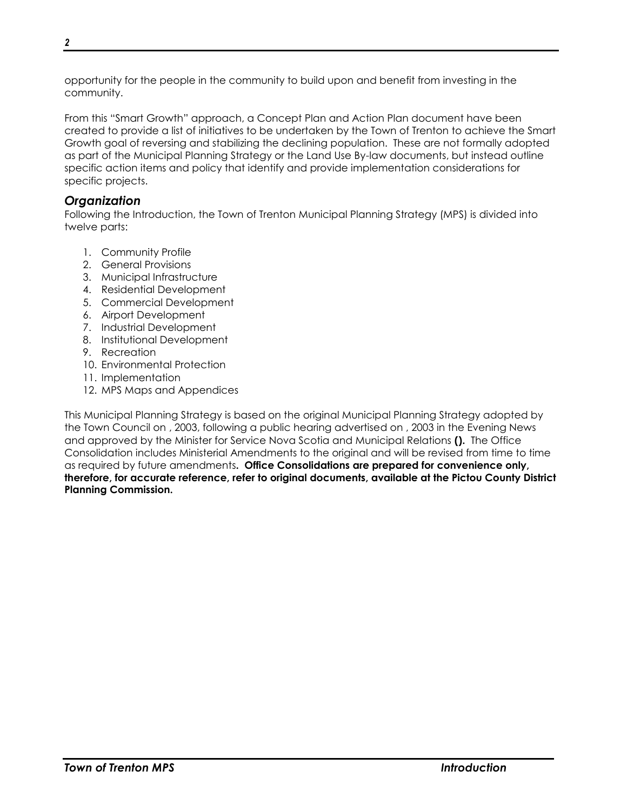opportunity for the people in the community to build upon and benefit from investing in the community.

From this "Smart Growth" approach, a Concept Plan and Action Plan document have been created to provide a list of initiatives to be undertaken by the Town of Trenton to achieve the Smart Growth goal of reversing and stabilizing the declining population. These are not formally adopted as part of the Municipal Planning Strategy or the Land Use By-law documents, but instead outline specific action items and policy that identify and provide implementation considerations for specific projects.

## <span id="page-3-0"></span>*Organization*

Following the Introduction, the Town of Trenton Municipal Planning Strategy (MPS) is divided into twelve parts:

- 1. Community Profile
- 2. General Provisions
- 3. Municipal Infrastructure
- 4. Residential Development
- 5. Commercial Development
- 6. Airport Development
- 7. Industrial Development
- 8. Institutional Development
- 9. Recreation
- 10. Environmental Protection
- 11. Implementation
- 12. MPS Maps and Appendices

This Municipal Planning Strategy is based on the original Municipal Planning Strategy adopted by the Town Council on , 2003, following a public hearing advertised on , 2003 in the Evening News and approved by the Minister for Service Nova Scotia and Municipal Relations **().** The Office Consolidation includes Ministerial Amendments to the original and will be revised from time to time as required by future amendments**. Office Consolidations are prepared for convenience only, therefore, for accurate reference, refer to original documents, available at the Pictou County District Planning Commission.**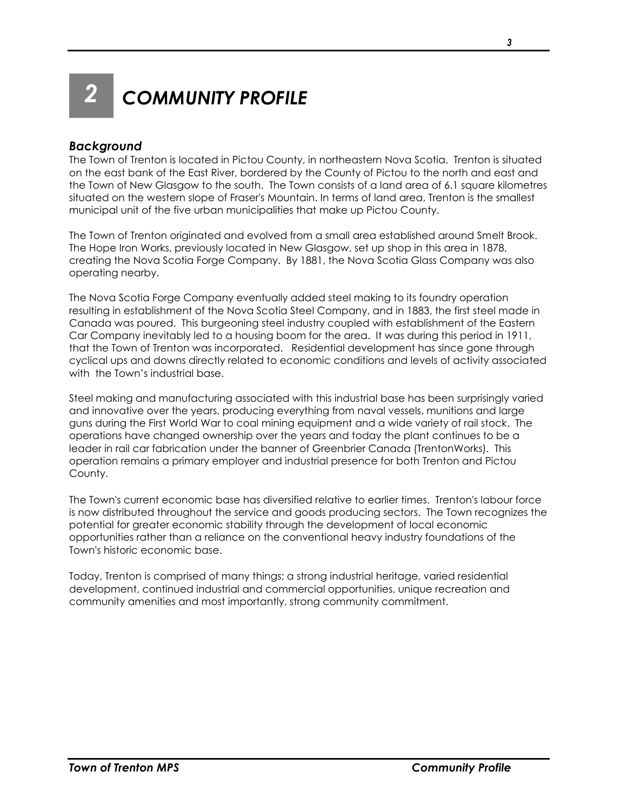<span id="page-4-0"></span>

*2 COMMUNITY PROFILE*

## <span id="page-4-1"></span>*Background*

The Town of Trenton is located in Pictou County, in northeastern Nova Scotia. Trenton is situated on the east bank of the East River, bordered by the County of Pictou to the north and east and the Town of New Glasgow to the south. The Town consists of a land area of 6.1 square kilometres situated on the western slope of Fraser's Mountain. In terms of land area, Trenton is the smallest municipal unit of the five urban municipalities that make up Pictou County.

The Town of Trenton originated and evolved from a small area established around Smelt Brook. The Hope Iron Works, previously located in New Glasgow, set up shop in this area in 1878, creating the Nova Scotia Forge Company. By 1881, the Nova Scotia Glass Company was also operating nearby.

The Nova Scotia Forge Company eventually added steel making to its foundry operation resulting in establishment of the Nova Scotia Steel Company, and in 1883, the first steel made in Canada was poured. This burgeoning steel industry coupled with establishment of the Eastern Car Company inevitably led to a housing boom for the area. It was during this period in 1911, that the Town of Trenton was incorporated. Residential development has since gone through cyclical ups and downs directly related to economic conditions and levels of activity associated with the Town's industrial base.

Steel making and manufacturing associated with this industrial base has been surprisingly varied and innovative over the years, producing everything from naval vessels, munitions and large guns during the First World War to coal mining equipment and a wide variety of rail stock. The operations have changed ownership over the years and today the plant continues to be a leader in rail car fabrication under the banner of Greenbrier Canada (TrentonWorks). This operation remains a primary employer and industrial presence for both Trenton and Pictou County.

The Town's current economic base has diversified relative to earlier times. Trenton's labour force is now distributed throughout the service and goods producing sectors. The Town recognizes the potential for greater economic stability through the development of local economic opportunities rather than a reliance on the conventional heavy industry foundations of the Town's historic economic base.

Today, Trenton is comprised of many things; a strong industrial heritage, varied residential development, continued industrial and commercial opportunities, unique recreation and community amenities and most importantly, strong community commitment.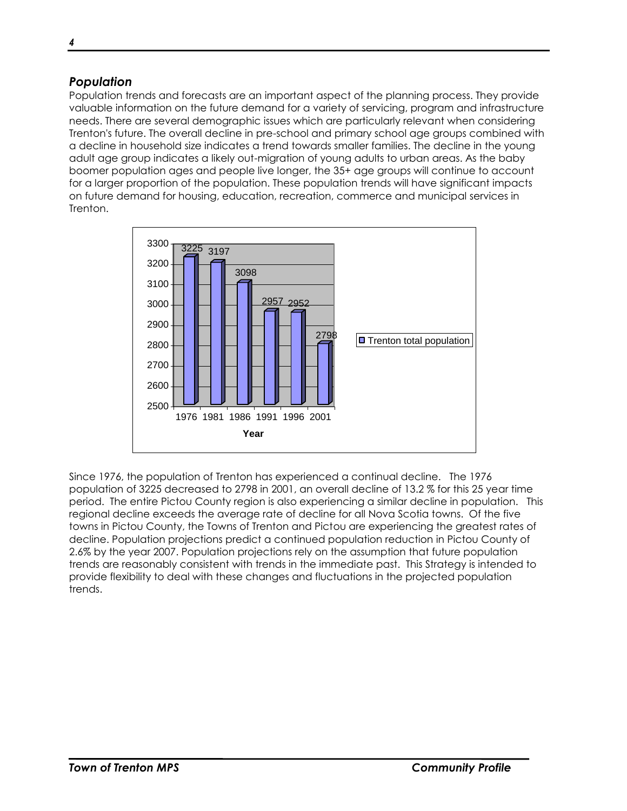## <span id="page-5-0"></span>*Population*

Population trends and forecasts are an important aspect of the planning process. They provide valuable information on the future demand for a variety of servicing, program and infrastructure needs. There are several demographic issues which are particularly relevant when considering Trenton's future. The overall decline in pre-school and primary school age groups combined with a decline in household size indicates a trend towards smaller families. The decline in the young adult age group indicates a likely out-migration of young adults to urban areas. As the baby boomer population ages and people live longer, the 35+ age groups will continue to account for a larger proportion of the population. These population trends will have significant impacts on future demand for housing, education, recreation, commerce and municipal services in Trenton.



Since 1976, the population of Trenton has experienced a continual decline. The 1976 population of 3225 decreased to 2798 in 2001, an overall decline of 13.2 % for this 25 year time period. The entire Pictou County region is also experiencing a similar decline in population. This regional decline exceeds the average rate of decline for all Nova Scotia towns. Of the five towns in Pictou County, the Towns of Trenton and Pictou are experiencing the greatest rates of decline. Population projections predict a continued population reduction in Pictou County of 2.6% by the year 2007. Population projections rely on the assumption that future population trends are reasonably consistent with trends in the immediate past. This Strategy is intended to provide flexibility to deal with these changes and fluctuations in the projected population trends.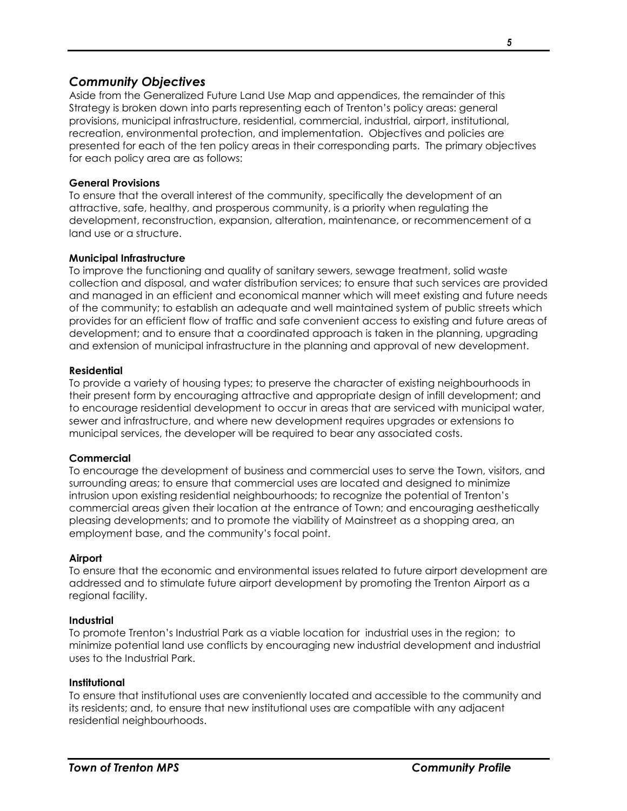## <span id="page-6-0"></span>*Community Objectives*

Aside from the Generalized Future Land Use Map and appendices, the remainder of this Strategy is broken down into parts representing each of Trenton's policy areas: general provisions, municipal infrastructure, residential, commercial, industrial, airport, institutional, recreation, environmental protection, and implementation. Objectives and policies are presented for each of the ten policy areas in their corresponding parts. The primary objectives for each policy area are as follows:

#### **General Provisions**

To ensure that the overall interest of the community, specifically the development of an attractive, safe, healthy, and prosperous community, is a priority when regulating the development, reconstruction, expansion, alteration, maintenance, or recommencement of a land use or a structure.

#### **Municipal Infrastructure**

To improve the functioning and quality of sanitary sewers, sewage treatment, solid waste collection and disposal, and water distribution services; to ensure that such services are provided and managed in an efficient and economical manner which will meet existing and future needs of the community; to establish an adequate and well maintained system of public streets which provides for an efficient flow of traffic and safe convenient access to existing and future areas of development; and to ensure that a coordinated approach is taken in the planning, upgrading and extension of municipal infrastructure in the planning and approval of new development.

#### **Residential**

To provide a variety of housing types; to preserve the character of existing neighbourhoods in their present form by encouraging attractive and appropriate design of infill development; and to encourage residential development to occur in areas that are serviced with municipal water, sewer and infrastructure, and where new development requires upgrades or extensions to municipal services, the developer will be required to bear any associated costs.

## **Commercial**

To encourage the development of business and commercial uses to serve the Town, visitors, and surrounding areas; to ensure that commercial uses are located and designed to minimize intrusion upon existing residential neighbourhoods; to recognize the potential of Trenton's commercial areas given their location at the entrance of Town; and encouraging aesthetically pleasing developments; and to promote the viability of Mainstreet as a shopping area, an employment base, and the community's focal point.

#### **Airport**

To ensure that the economic and environmental issues related to future airport development are addressed and to stimulate future airport development by promoting the Trenton Airport as a regional facility.

#### **Industrial**

To promote Trenton's Industrial Park as a viable location for industrial uses in the region; to minimize potential land use conflicts by encouraging new industrial development and industrial uses to the Industrial Park.

#### **Institutional**

To ensure that institutional uses are conveniently located and accessible to the community and its residents; and, to ensure that new institutional uses are compatible with any adjacent residential neighbourhoods.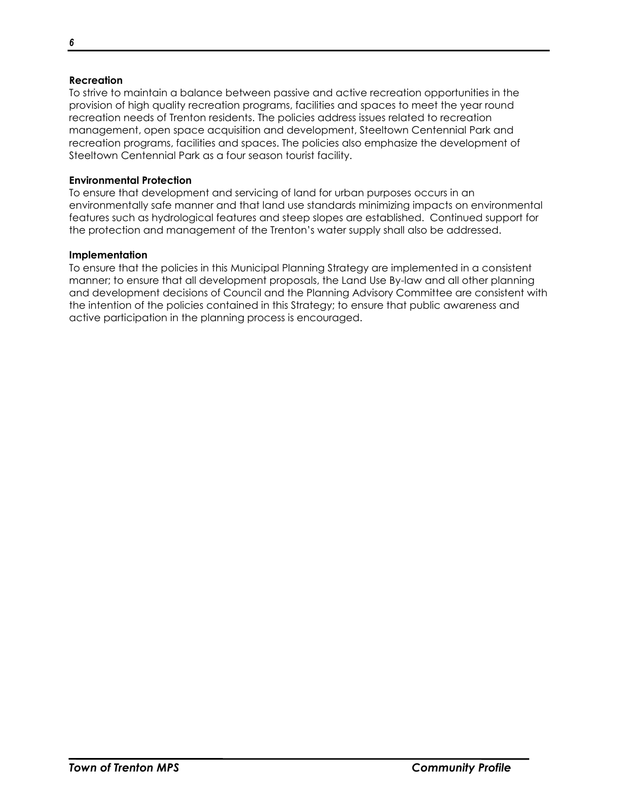#### **Recreation**

To strive to maintain a balance between passive and active recreation opportunities in the provision of high quality recreation programs, facilities and spaces to meet the year round recreation needs of Trenton residents. The policies address issues related to recreation management, open space acquisition and development, Steeltown Centennial Park and recreation programs, facilities and spaces. The policies also emphasize the development of Steeltown Centennial Park as a four season tourist facility.

#### **Environmental Protection**

To ensure that development and servicing of land for urban purposes occurs in an environmentally safe manner and that land use standards minimizing impacts on environmental features such as hydrological features and steep slopes are established. Continued support for the protection and management of the Trenton's water supply shall also be addressed.

#### **Implementation**

To ensure that the policies in this Municipal Planning Strategy are implemented in a consistent manner; to ensure that all development proposals, the Land Use By-law and all other planning and development decisions of Council and the Planning Advisory Committee are consistent with the intention of the policies contained in this Strategy; to ensure that public awareness and active participation in the planning process is encouraged.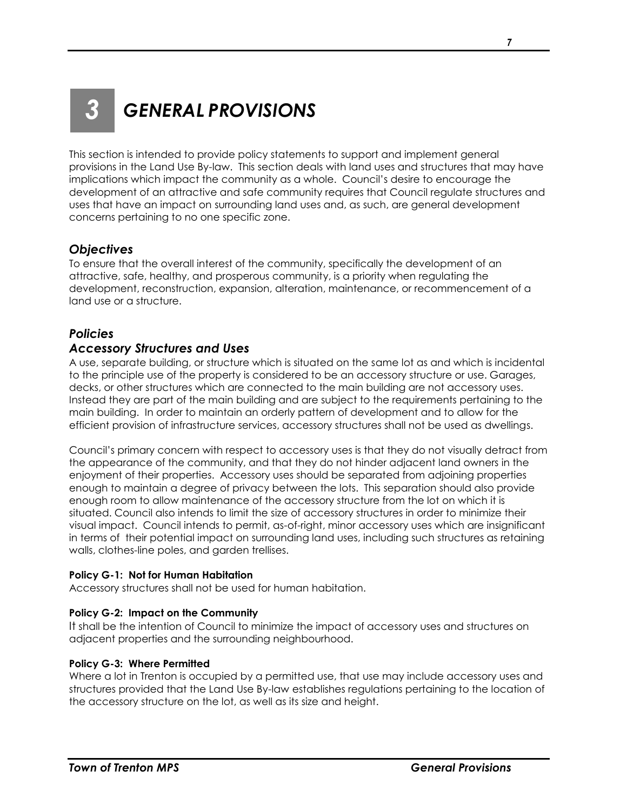## <span id="page-8-0"></span>*3 GENERAL PROVISIONS*

This section is intended to provide policy statements to support and implement general provisions in the Land Use By-law. This section deals with land uses and structures that may have implications which impact the community as a whole. Council's desire to encourage the development of an attractive and safe community requires that Council regulate structures and uses that have an impact on surrounding land uses and, as such, are general development concerns pertaining to no one specific zone.

## <span id="page-8-1"></span>*Objectives*

To ensure that the overall interest of the community, specifically the development of an attractive, safe, healthy, and prosperous community, is a priority when regulating the development, reconstruction, expansion, alteration, maintenance, or recommencement of a land use or a structure.

## <span id="page-8-2"></span>*Policies*

## <span id="page-8-3"></span>*Accessory Structures and Uses*

A use, separate building, or structure which is situated on the same lot as and which is incidental to the principle use of the property is considered to be an accessory structure or use. Garages, decks, or other structures which are connected to the main building are not accessory uses. Instead they are part of the main building and are subject to the requirements pertaining to the main building. In order to maintain an orderly pattern of development and to allow for the efficient provision of infrastructure services, accessory structures shall not be used as dwellings.

Council's primary concern with respect to accessory uses is that they do not visually detract from the appearance of the community, and that they do not hinder adjacent land owners in the enjoyment of their properties. Accessory uses should be separated from adjoining properties enough to maintain a degree of privacy between the lots. This separation should also provide enough room to allow maintenance of the accessory structure from the lot on which it is situated. Council also intends to limit the size of accessory structures in order to minimize their visual impact. Council intends to permit, as-of-right, minor accessory uses which are insignificant in terms of their potential impact on surrounding land uses, including such structures as retaining walls, clothes-line poles, and garden trellises.

## **Policy G-1: Not for Human Habitation**

Accessory structures shall not be used for human habitation.

## **Policy G-2: Impact on the Community**

It shall be the intention of Council to minimize the impact of accessory uses and structures on adjacent properties and the surrounding neighbourhood.

## **Policy G-3: Where Permitted**

Where a lot in Trenton is occupied by a permitted use, that use may include accessory uses and structures provided that the Land Use By-law establishes regulations pertaining to the location of the accessory structure on the lot, as well as its size and height.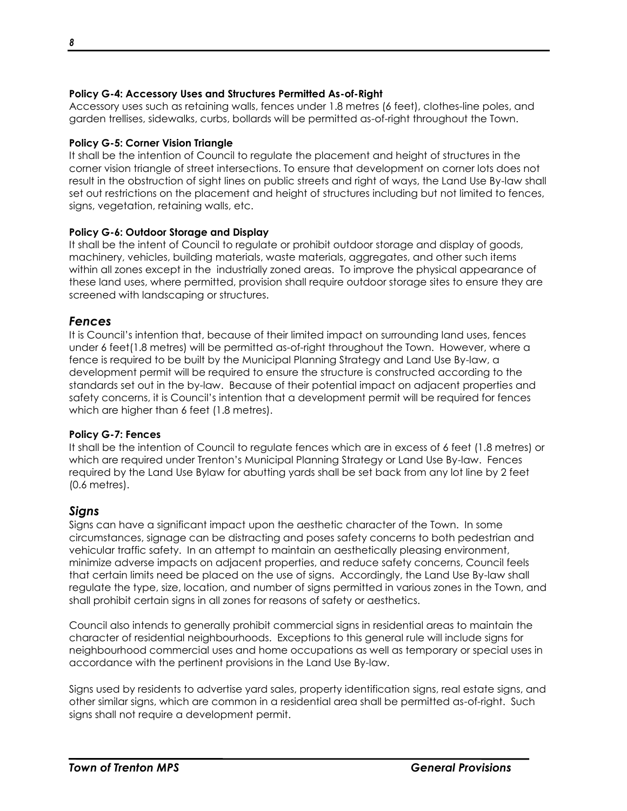## **Policy G-4: Accessory Uses and Structures Permitted As-of-Right**

Accessory uses such as retaining walls, fences under 1.8 metres (6 feet), clothes-line poles, and garden trellises, sidewalks, curbs, bollards will be permitted as-of-right throughout the Town.

## **Policy G-5: Corner Vision Triangle**

It shall be the intention of Council to regulate the placement and height of structures in the corner vision triangle of street intersections. To ensure that development on corner lots does not result in the obstruction of sight lines on public streets and right of ways, the Land Use By-law shall set out restrictions on the placement and height of structures including but not limited to fences, signs, vegetation, retaining walls, etc.

## **Policy G-6: Outdoor Storage and Display**

It shall be the intent of Council to regulate or prohibit outdoor storage and display of goods, machinery, vehicles, building materials, waste materials, aggregates, and other such items within all zones except in the industrially zoned areas. To improve the physical appearance of these land uses, where permitted, provision shall require outdoor storage sites to ensure they are screened with landscaping or structures.

## <span id="page-9-0"></span>*Fences*

It is Council's intention that, because of their limited impact on surrounding land uses, fences under 6 feet(1.8 metres) will be permitted as-of-right throughout the Town. However, where a fence is required to be built by the Municipal Planning Strategy and Land Use By-law, a development permit will be required to ensure the structure is constructed according to the standards set out in the by-law. Because of their potential impact on adjacent properties and safety concerns, it is Council's intention that a development permit will be required for fences which are higher than 6 feet (1.8 metres).

## **Policy G-7: Fences**

It shall be the intention of Council to regulate fences which are in excess of 6 feet (1.8 metres) or which are required under Trenton's Municipal Planning Strategy or Land Use By-law. Fences required by the Land Use Bylaw for abutting yards shall be set back from any lot line by 2 feet (0.6 metres).

## <span id="page-9-1"></span>*Signs*

Signs can have a significant impact upon the aesthetic character of the Town. In some circumstances, signage can be distracting and poses safety concerns to both pedestrian and vehicular traffic safety. In an attempt to maintain an aesthetically pleasing environment, minimize adverse impacts on adjacent properties, and reduce safety concerns, Council feels that certain limits need be placed on the use of signs. Accordingly, the Land Use By-law shall regulate the type, size, location, and number of signs permitted in various zones in the Town, and shall prohibit certain signs in all zones for reasons of safety or aesthetics.

Council also intends to generally prohibit commercial signs in residential areas to maintain the character of residential neighbourhoods. Exceptions to this general rule will include signs for neighbourhood commercial uses and home occupations as well as temporary or special uses in accordance with the pertinent provisions in the Land Use By-law.

Signs used by residents to advertise yard sales, property identification signs, real estate signs, and other similar signs, which are common in a residential area shall be permitted as-of-right. Such signs shall not require a development permit.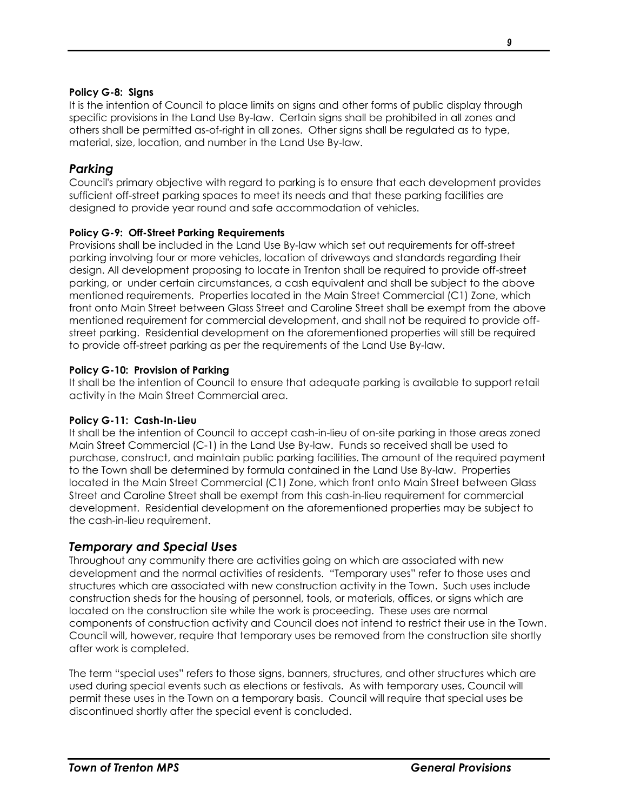#### **Policy G-8: Signs**

It is the intention of Council to place limits on signs and other forms of public display through specific provisions in the Land Use By-law. Certain signs shall be prohibited in all zones and others shall be permitted as-of-right in all zones. Other signs shall be regulated as to type, material, size, location, and number in the Land Use By-law.

## <span id="page-10-0"></span>*Parking*

Council's primary objective with regard to parking is to ensure that each development provides sufficient off-street parking spaces to meet its needs and that these parking facilities are designed to provide year round and safe accommodation of vehicles.

## **Policy G-9: Off-Street Parking Requirements**

Provisions shall be included in the Land Use By-law which set out requirements for off-street parking involving four or more vehicles, location of driveways and standards regarding their design. All development proposing to locate in Trenton shall be required to provide off-street parking, or under certain circumstances, a cash equivalent and shall be subject to the above mentioned requirements. Properties located in the Main Street Commercial (C1) Zone, which front onto Main Street between Glass Street and Caroline Street shall be exempt from the above mentioned requirement for commercial development, and shall not be required to provide offstreet parking. Residential development on the aforementioned properties will still be required to provide off-street parking as per the requirements of the Land Use By-law.

#### **Policy G-10: Provision of Parking**

It shall be the intention of Council to ensure that adequate parking is available to support retail activity in the Main Street Commercial area.

## **Policy G-11: Cash-In-Lieu**

It shall be the intention of Council to accept cash-in-lieu of on-site parking in those areas zoned Main Street Commercial (C-1) in the Land Use By-law. Funds so received shall be used to purchase, construct, and maintain public parking facilities. The amount of the required payment to the Town shall be determined by formula contained in the Land Use By-law. Properties located in the Main Street Commercial (C1) Zone, which front onto Main Street between Glass Street and Caroline Street shall be exempt from this cash-in-lieu requirement for commercial development. Residential development on the aforementioned properties may be subject to the cash-in-lieu requirement.

## <span id="page-10-1"></span>*Temporary and Special Uses*

Throughout any community there are activities going on which are associated with new development and the normal activities of residents. "Temporary uses" refer to those uses and structures which are associated with new construction activity in the Town. Such uses include construction sheds for the housing of personnel, tools, or materials, offices, or signs which are located on the construction site while the work is proceeding. These uses are normal components of construction activity and Council does not intend to restrict their use in the Town. Council will, however, require that temporary uses be removed from the construction site shortly after work is completed.

The term "special uses" refers to those signs, banners, structures, and other structures which are used during special events such as elections or festivals. As with temporary uses, Council will permit these uses in the Town on a temporary basis. Council will require that special uses be discontinued shortly after the special event is concluded.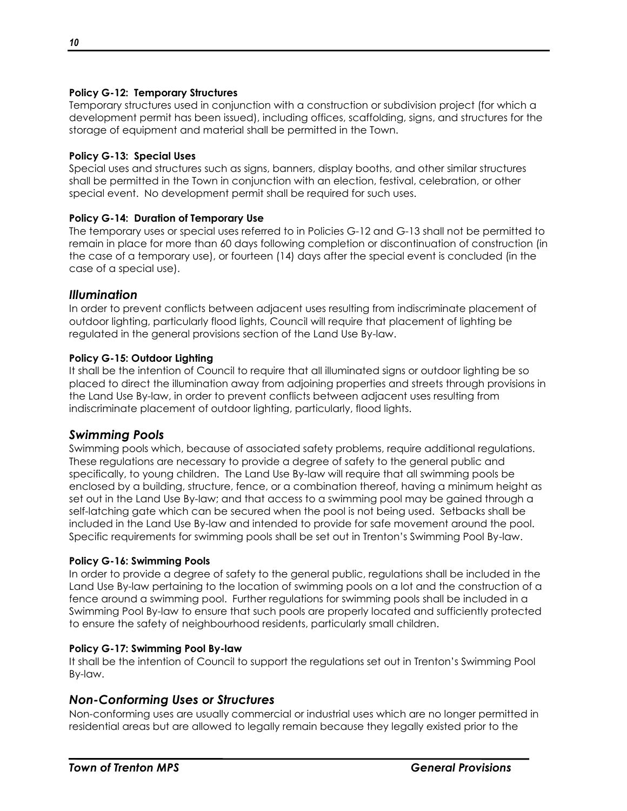#### **Policy G-12: Temporary Structures**

Temporary structures used in conjunction with a construction or subdivision project (for which a development permit has been issued), including offices, scaffolding, signs, and structures for the storage of equipment and material shall be permitted in the Town.

#### **Policy G-13: Special Uses**

Special uses and structures such as signs, banners, display booths, and other similar structures shall be permitted in the Town in conjunction with an election, festival, celebration, or other special event. No development permit shall be required for such uses.

#### **Policy G-14: Duration of Temporary Use**

The temporary uses or special uses referred to in Policies G-12 and G-13 shall not be permitted to remain in place for more than 60 days following completion or discontinuation of construction (in the case of a temporary use), or fourteen (14) days after the special event is concluded (in the case of a special use).

## <span id="page-11-0"></span>*Illumination*

In order to prevent conflicts between adjacent uses resulting from indiscriminate placement of outdoor lighting, particularly flood lights, Council will require that placement of lighting be regulated in the general provisions section of the Land Use By-law.

#### **Policy G-15: Outdoor Lighting**

It shall be the intention of Council to require that all illuminated signs or outdoor lighting be so placed to direct the illumination away from adjoining properties and streets through provisions in the Land Use By-law, in order to prevent conflicts between adjacent uses resulting from indiscriminate placement of outdoor lighting, particularly, flood lights.

## <span id="page-11-1"></span>*Swimming Pools*

Swimming pools which, because of associated safety problems, require additional regulations. These regulations are necessary to provide a degree of safety to the general public and specifically, to young children. The Land Use By-law will require that all swimming pools be enclosed by a building, structure, fence, or a combination thereof, having a minimum height as set out in the Land Use By-law; and that access to a swimming pool may be gained through a self-latching gate which can be secured when the pool is not being used. Setbacks shall be included in the Land Use By-law and intended to provide for safe movement around the pool. Specific requirements for swimming pools shall be set out in Trenton's Swimming Pool By-law.

## **Policy G-16: Swimming Pools**

In order to provide a degree of safety to the general public, regulations shall be included in the Land Use By-law pertaining to the location of swimming pools on a lot and the construction of a fence around a swimming pool. Further regulations for swimming pools shall be included in a Swimming Pool By-law to ensure that such pools are properly located and sufficiently protected to ensure the safety of neighbourhood residents, particularly small children.

#### **Policy G-17: Swimming Pool By-law**

It shall be the intention of Council to support the regulations set out in Trenton's Swimming Pool By-law.

## <span id="page-11-2"></span>*Non-Conforming Uses or Structures*

Non-conforming uses are usually commercial or industrial uses which are no longer permitted in residential areas but are allowed to legally remain because they legally existed prior to the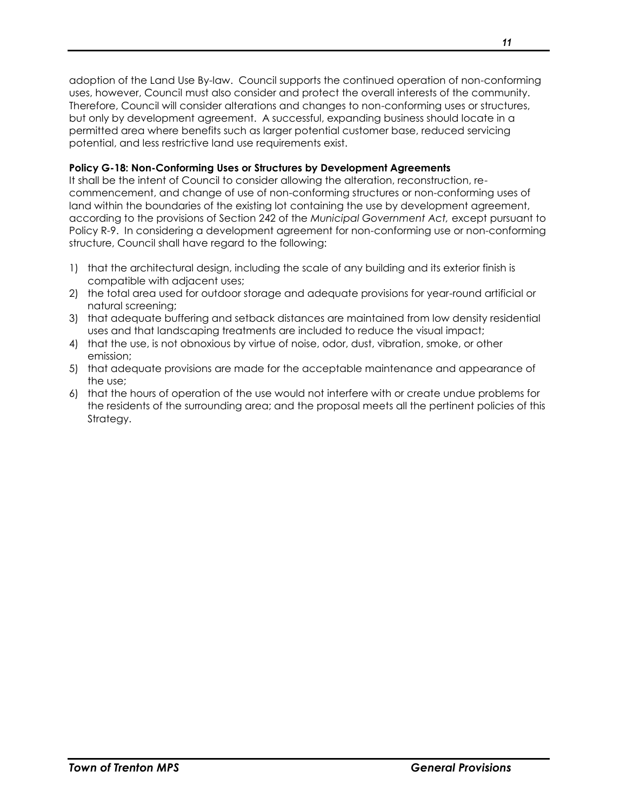adoption of the Land Use By-law. Council supports the continued operation of non-conforming uses, however, Council must also consider and protect the overall interests of the community. Therefore, Council will consider alterations and changes to non-conforming uses or structures, but only by development agreement. A successful, expanding business should locate in a permitted area where benefits such as larger potential customer base, reduced servicing potential, and less restrictive land use requirements exist.

## **Policy G-18: Non-Conforming Uses or Structures by Development Agreements**

It shall be the intent of Council to consider allowing the alteration, reconstruction, recommencement, and change of use of non-conforming structures or non-conforming uses of land within the boundaries of the existing lot containing the use by development agreement, according to the provisions of Section 242 of the *Municipal Government Act,* except pursuant to Policy R-9. In considering a development agreement for non-conforming use or non-conforming structure, Council shall have regard to the following:

- 1) that the architectural design, including the scale of any building and its exterior finish is compatible with adjacent uses;
- 2) the total area used for outdoor storage and adequate provisions for year-round artificial or natural screening;
- 3) that adequate buffering and setback distances are maintained from low density residential uses and that landscaping treatments are included to reduce the visual impact;
- 4) that the use, is not obnoxious by virtue of noise, odor, dust, vibration, smoke, or other emission;
- 5) that adequate provisions are made for the acceptable maintenance and appearance of the use;
- 6) that the hours of operation of the use would not interfere with or create undue problems for the residents of the surrounding area; and the proposal meets all the pertinent policies of this Strategy.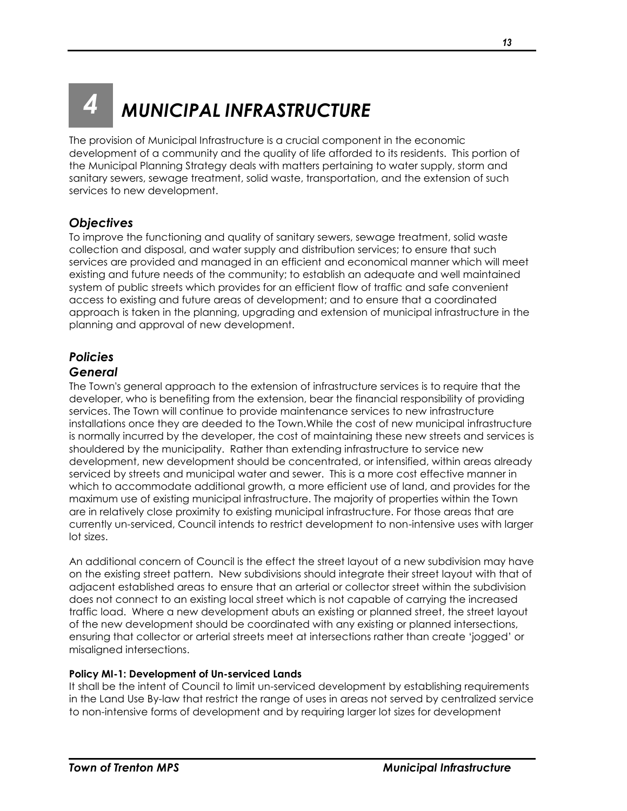## <span id="page-14-0"></span>*4 MUNICIPAL INFRASTRUCTURE*

The provision of Municipal Infrastructure is a crucial component in the economic development of a community and the quality of life afforded to its residents. This portion of the Municipal Planning Strategy deals with matters pertaining to water supply, storm and sanitary sewers, sewage treatment, solid waste, transportation, and the extension of such services to new development.

## <span id="page-14-1"></span>*Objectives*

To improve the functioning and quality of sanitary sewers, sewage treatment, solid waste collection and disposal, and water supply and distribution services; to ensure that such services are provided and managed in an efficient and economical manner which will meet existing and future needs of the community; to establish an adequate and well maintained system of public streets which provides for an efficient flow of traffic and safe convenient access to existing and future areas of development; and to ensure that a coordinated approach is taken in the planning, upgrading and extension of municipal infrastructure in the planning and approval of new development.

## <span id="page-14-2"></span>*Policies*

## <span id="page-14-3"></span>*General*

The Town's general approach to the extension of infrastructure services is to require that the developer, who is benefiting from the extension, bear the financial responsibility of providing services. The Town will continue to provide maintenance services to new infrastructure installations once they are deeded to the Town.While the cost of new municipal infrastructure is normally incurred by the developer, the cost of maintaining these new streets and services is shouldered by the municipality. Rather than extending infrastructure to service new development, new development should be concentrated, or intensified, within areas already serviced by streets and municipal water and sewer. This is a more cost effective manner in which to accommodate additional growth, a more efficient use of land, and provides for the maximum use of existing municipal infrastructure. The majority of properties within the Town are in relatively close proximity to existing municipal infrastructure. For those areas that are currently un-serviced, Council intends to restrict development to non-intensive uses with larger lot sizes.

An additional concern of Council is the effect the street layout of a new subdivision may have on the existing street pattern. New subdivisions should integrate their street layout with that of adjacent established areas to ensure that an arterial or collector street within the subdivision does not connect to an existing local street which is not capable of carrying the increased traffic load. Where a new development abuts an existing or planned street, the street layout of the new development should be coordinated with any existing or planned intersections, ensuring that collector or arterial streets meet at intersections rather than create 'jogged' or misaligned intersections.

## **Policy MI-1: Development of Un-serviced Lands**

It shall be the intent of Council to limit un-serviced development by establishing requirements in the Land Use By-law that restrict the range of uses in areas not served by centralized service to non-intensive forms of development and by requiring larger lot sizes for development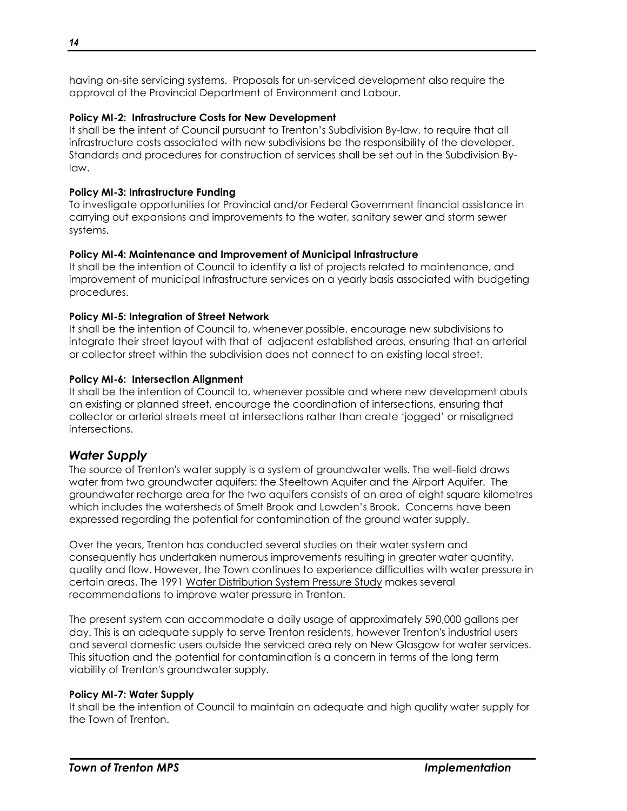having on-site servicing systems. Proposals for un-serviced development also require the approval of the Provincial Department of Environment and Labour.

## **Policy MI-2: Infrastructure Costs for New Development**

It shall be the intent of Council pursuant to Trenton's Subdivision By-law, to require that all infrastructure costs associated with new subdivisions be the responsibility of the developer. Standards and procedures for construction of services shall be set out in the Subdivision Bylaw.

#### **Policy MI-3: Infrastructure Funding**

To investigate opportunities for Provincial and/or Federal Government financial assistance in carrying out expansions and improvements to the water, sanitary sewer and storm sewer systems.

#### **Policy MI-4: Maintenance and Improvement of Municipal Infrastructure**

It shall be the intention of Council to identify a list of projects related to maintenance, and improvement of municipal Infrastructure services on a yearly basis associated with budgeting procedures.

#### **Policy MI-5: Integration of Street Network**

It shall be the intention of Council to, whenever possible, encourage new subdivisions to integrate their street layout with that of adjacent established areas, ensuring that an arterial or collector street within the subdivision does not connect to an existing local street.

#### **Policy MI-6: Intersection Alignment**

It shall be the intention of Council to, whenever possible and where new development abuts an existing or planned street, encourage the coordination of intersections, ensuring that collector or arterial streets meet at intersections rather than create 'jogged' or misaligned intersections.

## <span id="page-15-0"></span>*Water Supply*

The source of Trenton's water supply is a system of groundwater wells. The well-field draws water from two groundwater aquifers: the Steeltown Aquifer and the Airport Aquifer. The groundwater recharge area for the two aquifers consists of an area of eight square kilometres which includes the watersheds of Smelt Brook and Lowden's Brook. Concerns have been expressed regarding the potential for contamination of the ground water supply.

Over the years, Trenton has conducted several studies on their water system and consequently has undertaken numerous improvements resulting in greater water quantity, quality and flow. However, the Town continues to experience difficulties with water pressure in certain areas. The 1991 Water Distribution System Pressure Study makes several recommendations to improve water pressure in Trenton.

The present system can accommodate a daily usage of approximately 590,000 gallons per day. This is an adequate supply to serve Trenton residents, however Trenton's industrial users and several domestic users outside the serviced area rely on New Glasgow for water services. This situation and the potential for contamination is a concern in terms of the long term viability of Trenton's groundwater supply.

#### **Policy MI-7: Water Supply**

It shall be the intention of Council to maintain an adequate and high quality water supply for the Town of Trenton.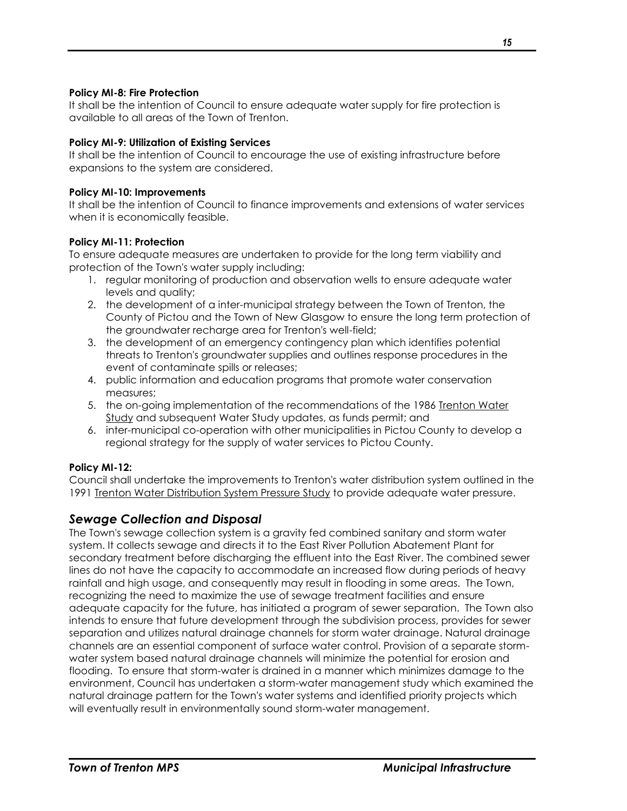#### **Policy MI-8: Fire Protection**

It shall be the intention of Council to ensure adequate water supply for fire protection is available to all areas of the Town of Trenton.

#### **Policy MI-9: Utilization of Existing Services**

It shall be the intention of Council to encourage the use of existing infrastructure before expansions to the system are considered.

#### **Policy MI-10: Improvements**

It shall be the intention of Council to finance improvements and extensions of water services when it is economically feasible.

## **Policy MI-11: Protection**

To ensure adequate measures are undertaken to provide for the long term viability and protection of the Town's water supply including:

- 1. regular monitoring of production and observation wells to ensure adequate water levels and quality;
- 2. the development of a inter-municipal strategy between the Town of Trenton, the County of Pictou and the Town of New Glasgow to ensure the long term protection of the groundwater recharge area for Trenton's well-field;
- 3. the development of an emergency contingency plan which identifies potential threats to Trenton's groundwater supplies and outlines response procedures in the event of contaminate spills or releases;
- 4. public information and education programs that promote water conservation measures;
- 5. the on-going implementation of the recommendations of the 1986 Trenton Water Study and subsequent Water Study updates, as funds permit; and
- 6. inter-municipal co-operation with other municipalities in Pictou County to develop a regional strategy for the supply of water services to Pictou County.

## **Policy MI-12:**

Council shall undertake the improvements to Trenton's water distribution system outlined in the 1991 Trenton Water Distribution System Pressure Study to provide adequate water pressure.

## <span id="page-16-0"></span>*Sewage Collection and Disposal*

The Town's sewage collection system is a gravity fed combined sanitary and storm water system. It collects sewage and directs it to the East River Pollution Abatement Plant for secondary treatment before discharging the effluent into the East River. The combined sewer lines do not have the capacity to accommodate an increased flow during periods of heavy rainfall and high usage, and consequently may result in flooding in some areas. The Town, recognizing the need to maximize the use of sewage treatment facilities and ensure adequate capacity for the future, has initiated a program of sewer separation. The Town also intends to ensure that future development through the subdivision process, provides for sewer separation and utilizes natural drainage channels for storm water drainage. Natural drainage channels are an essential component of surface water control. Provision of a separate stormwater system based natural drainage channels will minimize the potential for erosion and flooding. To ensure that storm-water is drained in a manner which minimizes damage to the environment, Council has undertaken a storm-water management study which examined the natural drainage pattern for the Town's water systems and identified priority projects which will eventually result in environmentally sound storm-water management.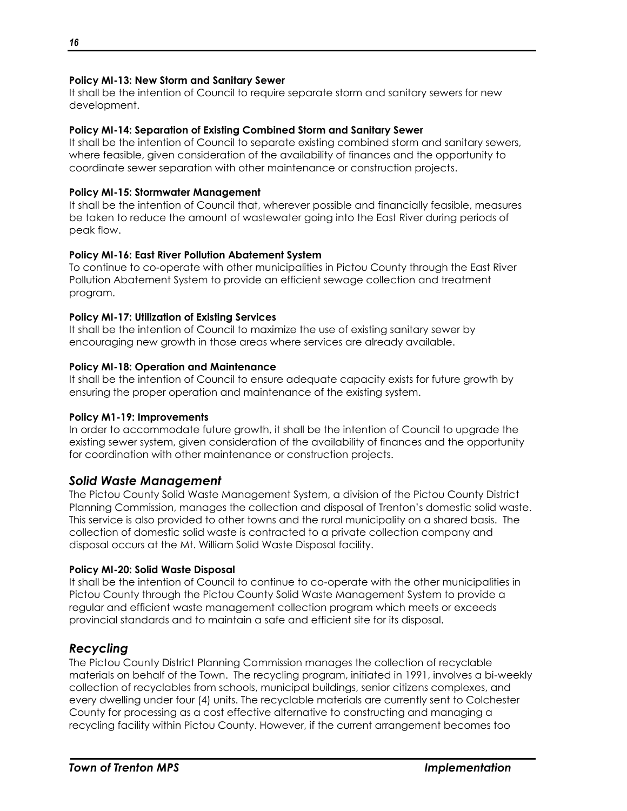#### **Policy MI-13: New Storm and Sanitary Sewer**

It shall be the intention of Council to require separate storm and sanitary sewers for new development.

#### **Policy MI-14: Separation of Existing Combined Storm and Sanitary Sewer**

It shall be the intention of Council to separate existing combined storm and sanitary sewers, where feasible, given consideration of the availability of finances and the opportunity to coordinate sewer separation with other maintenance or construction projects.

#### **Policy MI-15: Stormwater Management**

It shall be the intention of Council that, wherever possible and financially feasible, measures be taken to reduce the amount of wastewater going into the East River during periods of peak flow.

#### **Policy MI-16: East River Pollution Abatement System**

To continue to co-operate with other municipalities in Pictou County through the East River Pollution Abatement System to provide an efficient sewage collection and treatment program.

#### **Policy MI-17: Utilization of Existing Services**

It shall be the intention of Council to maximize the use of existing sanitary sewer by encouraging new growth in those areas where services are already available.

#### **Policy MI-18: Operation and Maintenance**

It shall be the intention of Council to ensure adequate capacity exists for future growth by ensuring the proper operation and maintenance of the existing system.

#### **Policy M1-19: Improvements**

In order to accommodate future growth, it shall be the intention of Council to upgrade the existing sewer system, given consideration of the availability of finances and the opportunity for coordination with other maintenance or construction projects.

## <span id="page-17-0"></span>*Solid Waste Management*

The Pictou County Solid Waste Management System, a division of the Pictou County District Planning Commission, manages the collection and disposal of Trenton's domestic solid waste. This service is also provided to other towns and the rural municipality on a shared basis. The collection of domestic solid waste is contracted to a private collection company and disposal occurs at the Mt. William Solid Waste Disposal facility.

#### **Policy MI-20: Solid Waste Disposal**

It shall be the intention of Council to continue to co-operate with the other municipalities in Pictou County through the Pictou County Solid Waste Management System to provide a regular and efficient waste management collection program which meets or exceeds provincial standards and to maintain a safe and efficient site for its disposal.

## <span id="page-17-1"></span>*Recycling*

The Pictou County District Planning Commission manages the collection of recyclable materials on behalf of the Town. The recycling program, initiated in 1991, involves a bi-weekly collection of recyclables from schools, municipal buildings, senior citizens complexes, and every dwelling under four (4) units. The recyclable materials are currently sent to Colchester County for processing as a cost effective alternative to constructing and managing a recycling facility within Pictou County. However, if the current arrangement becomes too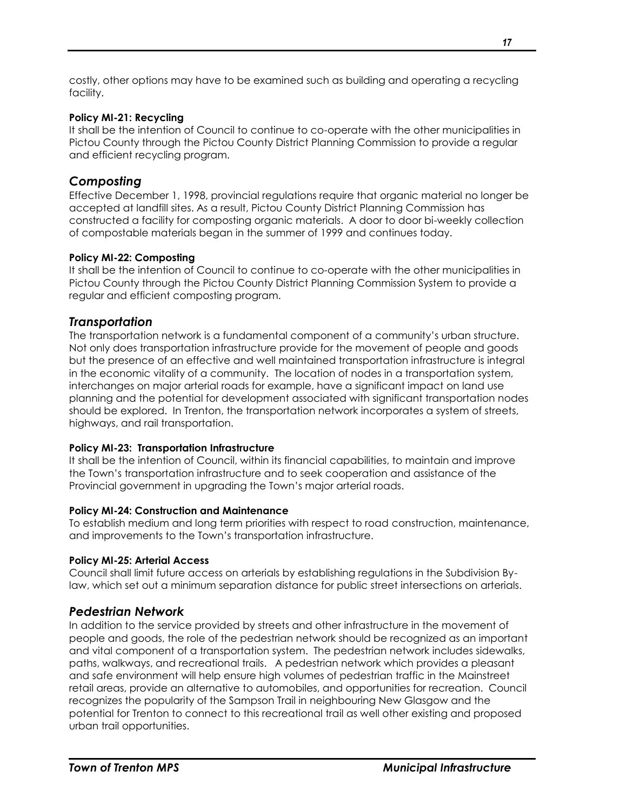costly, other options may have to be examined such as building and operating a recycling facility.

## **Policy MI-21: Recycling**

It shall be the intention of Council to continue to co-operate with the other municipalities in Pictou County through the Pictou County District Planning Commission to provide a regular and efficient recycling program.

## <span id="page-18-0"></span>*Composting*

Effective December 1, 1998, provincial regulations require that organic material no longer be accepted at landfill sites. As a result, Pictou County District Planning Commission has constructed a facility for composting organic materials. A door to door bi-weekly collection of compostable materials began in the summer of 1999 and continues today.

## **Policy MI-22: Composting**

It shall be the intention of Council to continue to co-operate with the other municipalities in Pictou County through the Pictou County District Planning Commission System to provide a regular and efficient composting program.

## <span id="page-18-1"></span>*Transportation*

The transportation network is a fundamental component of a community's urban structure. Not only does transportation infrastructure provide for the movement of people and goods but the presence of an effective and well maintained transportation infrastructure is integral in the economic vitality of a community. The location of nodes in a transportation system, interchanges on major arterial roads for example, have a significant impact on land use planning and the potential for development associated with significant transportation nodes should be explored. In Trenton, the transportation network incorporates a system of streets, highways, and rail transportation.

## **Policy MI-23: Transportation Infrastructure**

It shall be the intention of Council, within its financial capabilities, to maintain and improve the Town's transportation infrastructure and to seek cooperation and assistance of the Provincial government in upgrading the Town's major arterial roads.

## **Policy MI-24: Construction and Maintenance**

To establish medium and long term priorities with respect to road construction, maintenance, and improvements to the Town's transportation infrastructure.

## **Policy MI-25: Arterial Access**

Council shall limit future access on arterials by establishing regulations in the Subdivision Bylaw, which set out a minimum separation distance for public street intersections on arterials.

## <span id="page-18-2"></span>*Pedestrian Network*

In addition to the service provided by streets and other infrastructure in the movement of people and goods, the role of the pedestrian network should be recognized as an important and vital component of a transportation system. The pedestrian network includes sidewalks, paths, walkways, and recreational trails. A pedestrian network which provides a pleasant and safe environment will help ensure high volumes of pedestrian traffic in the Mainstreet retail areas, provide an alternative to automobiles, and opportunities for recreation. Council recognizes the popularity of the Sampson Trail in neighbouring New Glasgow and the potential for Trenton to connect to this recreational trail as well other existing and proposed urban trail opportunities.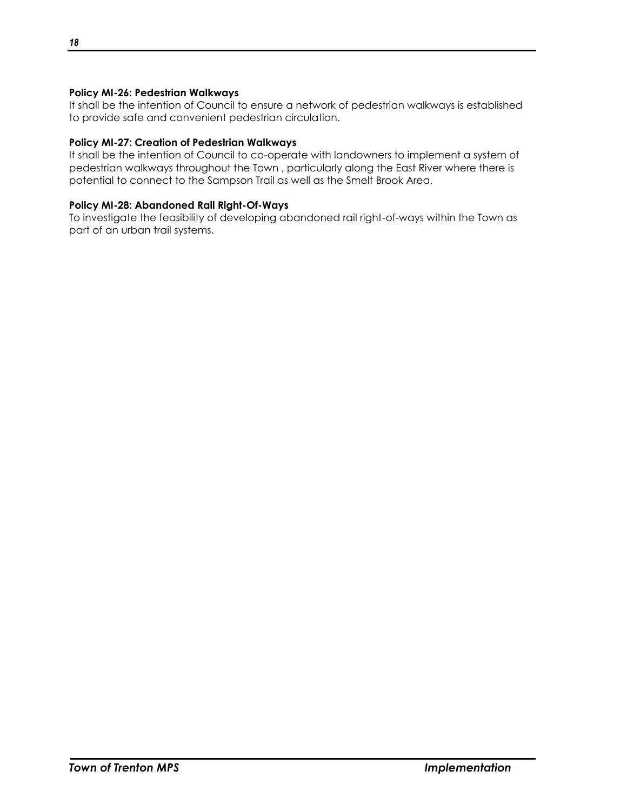## **Policy MI-26: Pedestrian Walkways**

It shall be the intention of Council to ensure a network of pedestrian walkways is established to provide safe and convenient pedestrian circulation.

#### **Policy MI-27: Creation of Pedestrian Walkways**

It shall be the intention of Council to co-operate with landowners to implement a system of pedestrian walkways throughout the Town , particularly along the East River where there is potential to connect to the Sampson Trail as well as the Smelt Brook Area.

#### **Policy MI-28: Abandoned Rail Right-Of-Ways**

To investigate the feasibility of developing abandoned rail right-of-ways within the Town as part of an urban trail systems.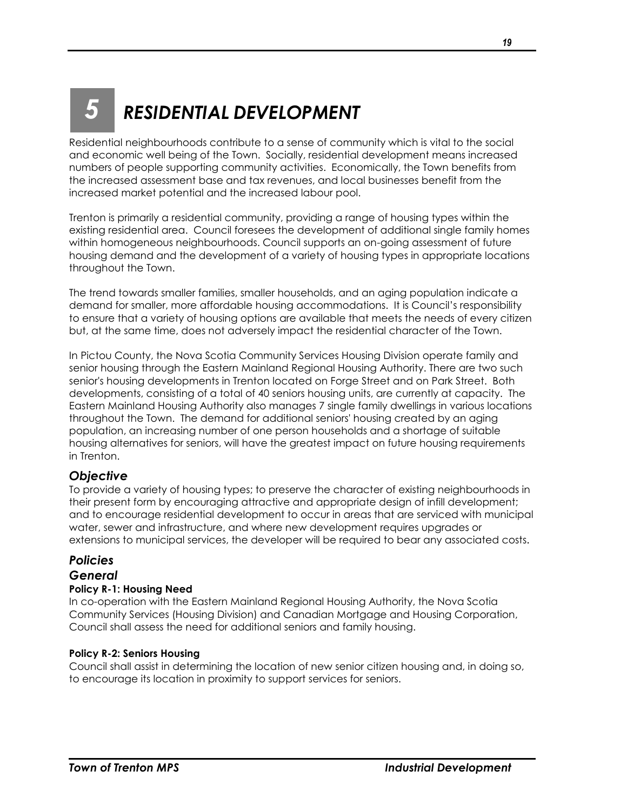## <span id="page-20-0"></span>*5 RESIDENTIAL DEVELOPMENT*

Residential neighbourhoods contribute to a sense of community which is vital to the social and economic well being of the Town. Socially, residential development means increased numbers of people supporting community activities. Economically, the Town benefits from the increased assessment base and tax revenues, and local businesses benefit from the increased market potential and the increased labour pool.

Trenton is primarily a residential community, providing a range of housing types within the existing residential area. Council foresees the development of additional single family homes within homogeneous neighbourhoods. Council supports an on-going assessment of future housing demand and the development of a variety of housing types in appropriate locations throughout the Town.

The trend towards smaller families, smaller households, and an aging population indicate a demand for smaller, more affordable housing accommodations. It is Council's responsibility to ensure that a variety of housing options are available that meets the needs of every citizen but, at the same time, does not adversely impact the residential character of the Town.

In Pictou County, the Nova Scotia Community Services Housing Division operate family and senior housing through the Eastern Mainland Regional Housing Authority. There are two such senior's housing developments in Trenton located on Forge Street and on Park Street. Both developments, consisting of a total of 40 seniors housing units, are currently at capacity. The Eastern Mainland Housing Authority also manages 7 single family dwellings in various locations throughout the Town. The demand for additional seniors' housing created by an aging population, an increasing number of one person households and a shortage of suitable housing alternatives for seniors, will have the greatest impact on future housing requirements in Trenton.

## <span id="page-20-1"></span>*Objective*

To provide a variety of housing types; to preserve the character of existing neighbourhoods in their present form by encouraging attractive and appropriate design of infill development; and to encourage residential development to occur in areas that are serviced with municipal water, sewer and infrastructure, and where new development requires upgrades or extensions to municipal services, the developer will be required to bear any associated costs.

## <span id="page-20-2"></span>*Policies*

## <span id="page-20-3"></span>*General*

## **Policy R-1: Housing Need**

In co-operation with the Eastern Mainland Regional Housing Authority, the Nova Scotia Community Services (Housing Division) and Canadian Mortgage and Housing Corporation, Council shall assess the need for additional seniors and family housing.

## **Policy R-2: Seniors Housing**

Council shall assist in determining the location of new senior citizen housing and, in doing so, to encourage its location in proximity to support services for seniors.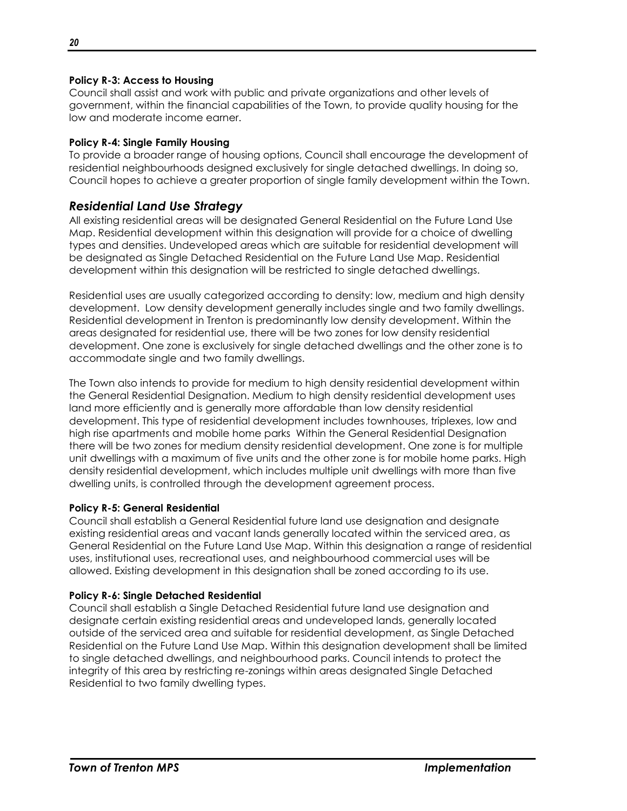## **Policy R-3: Access to Housing**

Council shall assist and work with public and private organizations and other levels of government, within the financial capabilities of the Town, to provide quality housing for the low and moderate income earner.

#### **Policy R-4: Single Family Housing**

To provide a broader range of housing options, Council shall encourage the development of residential neighbourhoods designed exclusively for single detached dwellings. In doing so, Council hopes to achieve a greater proportion of single family development within the Town.

## <span id="page-21-0"></span>*Residential Land Use Strategy*

All existing residential areas will be designated General Residential on the Future Land Use Map. Residential development within this designation will provide for a choice of dwelling types and densities. Undeveloped areas which are suitable for residential development will be designated as Single Detached Residential on the Future Land Use Map. Residential development within this designation will be restricted to single detached dwellings.

Residential uses are usually categorized according to density: low, medium and high density development. Low density development generally includes single and two family dwellings. Residential development in Trenton is predominantly low density development. Within the areas designated for residential use, there will be two zones for low density residential development. One zone is exclusively for single detached dwellings and the other zone is to accommodate single and two family dwellings.

The Town also intends to provide for medium to high density residential development within the General Residential Designation. Medium to high density residential development uses land more efficiently and is generally more affordable than low density residential development. This type of residential development includes townhouses, triplexes, low and high rise apartments and mobile home parks Within the General Residential Designation there will be two zones for medium density residential development. One zone is for multiple unit dwellings with a maximum of five units and the other zone is for mobile home parks. High density residential development, which includes multiple unit dwellings with more than five dwelling units, is controlled through the development agreement process.

#### **Policy R-5: General Residential**

Council shall establish a General Residential future land use designation and designate existing residential areas and vacant lands generally located within the serviced area, as General Residential on the Future Land Use Map. Within this designation a range of residential uses, institutional uses, recreational uses, and neighbourhood commercial uses will be allowed. Existing development in this designation shall be zoned according to its use.

#### **Policy R-6: Single Detached Residential**

Council shall establish a Single Detached Residential future land use designation and designate certain existing residential areas and undeveloped lands, generally located outside of the serviced area and suitable for residential development, as Single Detached Residential on the Future Land Use Map. Within this designation development shall be limited to single detached dwellings, and neighbourhood parks. Council intends to protect the integrity of this area by restricting re-zonings within areas designated Single Detached Residential to two family dwelling types.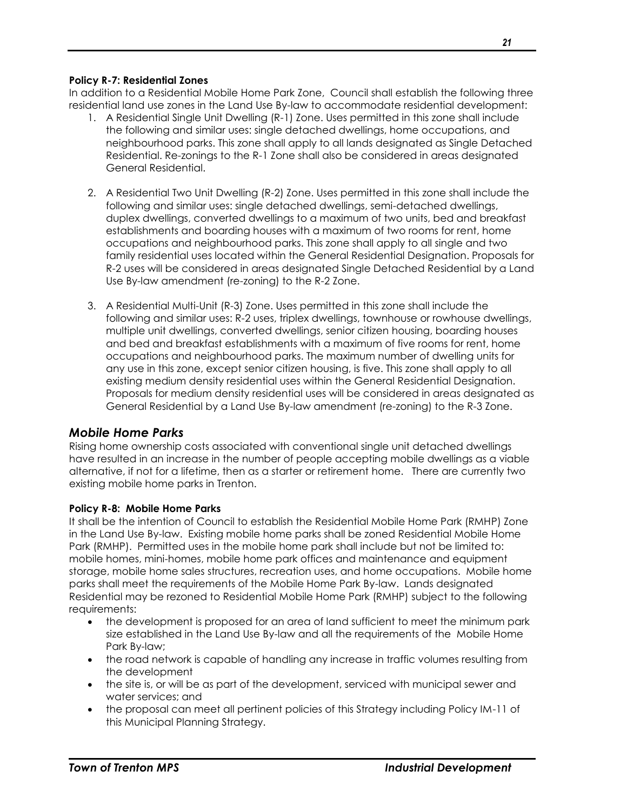#### **Policy R-7: Residential Zones**

In addition to a Residential Mobile Home Park Zone, Council shall establish the following three residential land use zones in the Land Use By-law to accommodate residential development:

- 1. A Residential Single Unit Dwelling (R-1) Zone. Uses permitted in this zone shall include the following and similar uses: single detached dwellings, home occupations, and neighbourhood parks. This zone shall apply to all lands designated as Single Detached Residential. Re-zonings to the R-1 Zone shall also be considered in areas designated General Residential.
- 2. A Residential Two Unit Dwelling (R-2) Zone. Uses permitted in this zone shall include the following and similar uses: single detached dwellings, semi-detached dwellings, duplex dwellings, converted dwellings to a maximum of two units, bed and breakfast establishments and boarding houses with a maximum of two rooms for rent, home occupations and neighbourhood parks. This zone shall apply to all single and two family residential uses located within the General Residential Designation. Proposals for R-2 uses will be considered in areas designated Single Detached Residential by a Land Use By-law amendment (re-zoning) to the R-2 Zone.
- 3. A Residential Multi-Unit (R-3) Zone. Uses permitted in this zone shall include the following and similar uses: R-2 uses, triplex dwellings, townhouse or rowhouse dwellings, multiple unit dwellings, converted dwellings, senior citizen housing, boarding houses and bed and breakfast establishments with a maximum of five rooms for rent, home occupations and neighbourhood parks. The maximum number of dwelling units for any use in this zone, except senior citizen housing, is five. This zone shall apply to all existing medium density residential uses within the General Residential Designation. Proposals for medium density residential uses will be considered in areas designated as General Residential by a Land Use By-law amendment (re-zoning) to the R-3 Zone.

## <span id="page-22-0"></span>*Mobile Home Parks*

Rising home ownership costs associated with conventional single unit detached dwellings have resulted in an increase in the number of people accepting mobile dwellings as a viable alternative, if not for a lifetime, then as a starter or retirement home. There are currently two existing mobile home parks in Trenton.

## **Policy R-8: Mobile Home Parks**

It shall be the intention of Council to establish the Residential Mobile Home Park (RMHP) Zone in the Land Use By-law. Existing mobile home parks shall be zoned Residential Mobile Home Park (RMHP). Permitted uses in the mobile home park shall include but not be limited to: mobile homes, mini-homes, mobile home park offices and maintenance and equipment storage, mobile home sales structures, recreation uses, and home occupations. Mobile home parks shall meet the requirements of the Mobile Home Park By-law. Lands designated Residential may be rezoned to Residential Mobile Home Park (RMHP) subject to the following requirements:

- the development is proposed for an area of land sufficient to meet the minimum park size established in the Land Use By-law and all the requirements of the Mobile Home Park By-law;
- the road network is capable of handling any increase in traffic volumes resulting from the development
- the site is, or will be as part of the development, serviced with municipal sewer and water services; and
- the proposal can meet all pertinent policies of this Strategy including Policy IM-11 of this Municipal Planning Strategy.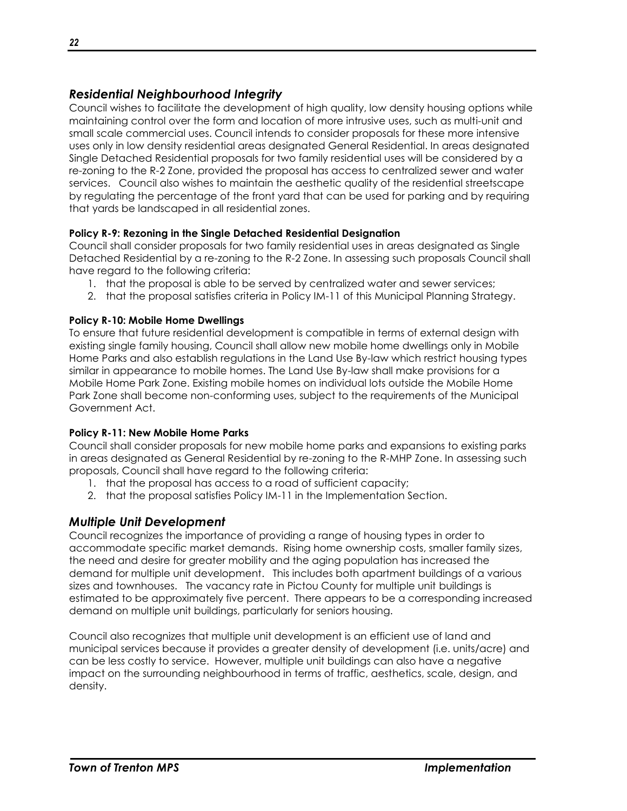## <span id="page-23-0"></span>*Residential Neighbourhood Integrity*

Council wishes to facilitate the development of high quality, low density housing options while maintaining control over the form and location of more intrusive uses, such as multi-unit and small scale commercial uses. Council intends to consider proposals for these more intensive uses only in low density residential areas designated General Residential. In areas designated Single Detached Residential proposals for two family residential uses will be considered by a re-zoning to the R-2 Zone, provided the proposal has access to centralized sewer and water services. Council also wishes to maintain the aesthetic quality of the residential streetscape by regulating the percentage of the front yard that can be used for parking and by requiring that yards be landscaped in all residential zones.

## **Policy R-9: Rezoning in the Single Detached Residential Designation**

Council shall consider proposals for two family residential uses in areas designated as Single Detached Residential by a re-zoning to the R-2 Zone. In assessing such proposals Council shall have regard to the following criteria:

- 1. that the proposal is able to be served by centralized water and sewer services;
- 2. that the proposal satisfies criteria in Policy IM-11 of this Municipal Planning Strategy.

## **Policy R-10: Mobile Home Dwellings**

To ensure that future residential development is compatible in terms of external design with existing single family housing, Council shall allow new mobile home dwellings only in Mobile Home Parks and also establish regulations in the Land Use By-law which restrict housing types similar in appearance to mobile homes. The Land Use By-law shall make provisions for a Mobile Home Park Zone. Existing mobile homes on individual lots outside the Mobile Home Park Zone shall become non-conforming uses, subject to the requirements of the Municipal Government Act.

## **Policy R-11: New Mobile Home Parks**

Council shall consider proposals for new mobile home parks and expansions to existing parks in areas designated as General Residential by re-zoning to the R-MHP Zone. In assessing such proposals, Council shall have regard to the following criteria:

- 1. that the proposal has access to a road of sufficient capacity;
- 2. that the proposal satisfies Policy IM-11 in the Implementation Section.

## <span id="page-23-1"></span>*Multiple Unit Development*

Council recognizes the importance of providing a range of housing types in order to accommodate specific market demands. Rising home ownership costs, smaller family sizes, the need and desire for greater mobility and the aging population has increased the demand for multiple unit development. This includes both apartment buildings of a various sizes and townhouses. The vacancy rate in Pictou County for multiple unit buildings is estimated to be approximately five percent. There appears to be a corresponding increased demand on multiple unit buildings, particularly for seniors housing.

Council also recognizes that multiple unit development is an efficient use of land and municipal services because it provides a greater density of development (i.e. units/acre) and can be less costly to service. However, multiple unit buildings can also have a negative impact on the surrounding neighbourhood in terms of traffic, aesthetics, scale, design, and density.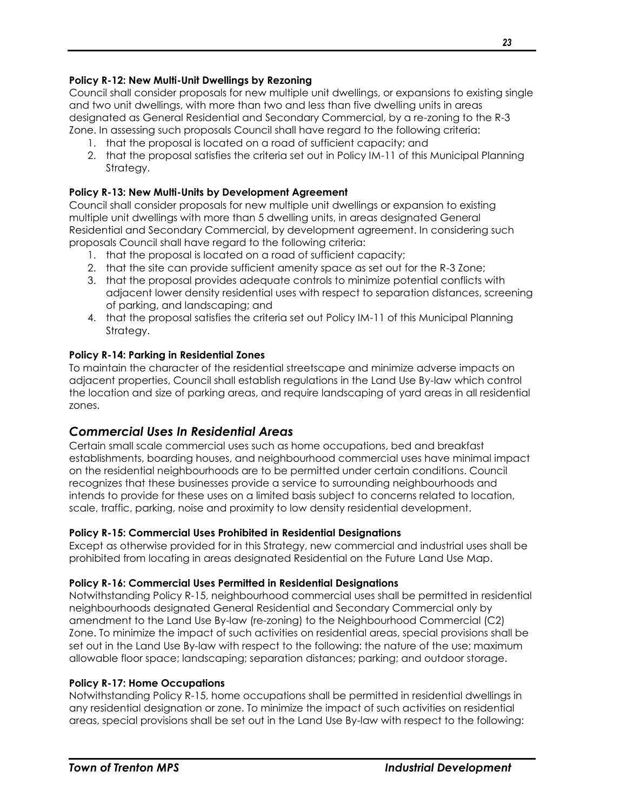## **Policy R-12: New Multi-Unit Dwellings by Rezoning**

Council shall consider proposals for new multiple unit dwellings, or expansions to existing single and two unit dwellings, with more than two and less than five dwelling units in areas designated as General Residential and Secondary Commercial, by a re-zoning to the R-3 Zone. In assessing such proposals Council shall have regard to the following criteria:

- 1. that the proposal is located on a road of sufficient capacity; and
- 2. that the proposal satisfies the criteria set out in Policy IM-11 of this Municipal Planning Strategy.

## **Policy R-13: New Multi-Units by Development Agreement**

Council shall consider proposals for new multiple unit dwellings or expansion to existing multiple unit dwellings with more than 5 dwelling units, in areas designated General Residential and Secondary Commercial, by development agreement. In considering such proposals Council shall have regard to the following criteria:

- 1. that the proposal is located on a road of sufficient capacity;
- 2. that the site can provide sufficient amenity space as set out for the R-3 Zone;
- 3. that the proposal provides adequate controls to minimize potential conflicts with adjacent lower density residential uses with respect to separation distances, screening of parking, and landscaping; and
- 4. that the proposal satisfies the criteria set out Policy IM-11 of this Municipal Planning Strategy.

## **Policy R-14: Parking in Residential Zones**

To maintain the character of the residential streetscape and minimize adverse impacts on adjacent properties, Council shall establish regulations in the Land Use By-law which control the location and size of parking areas, and require landscaping of yard areas in all residential zones.

## <span id="page-24-0"></span>*Commercial Uses In Residential Areas*

Certain small scale commercial uses such as home occupations, bed and breakfast establishments, boarding houses, and neighbourhood commercial uses have minimal impact on the residential neighbourhoods are to be permitted under certain conditions. Council recognizes that these businesses provide a service to surrounding neighbourhoods and intends to provide for these uses on a limited basis subject to concerns related to location, scale, traffic, parking, noise and proximity to low density residential development.

## **Policy R-15: Commercial Uses Prohibited in Residential Designations**

Except as otherwise provided for in this Strategy, new commercial and industrial uses shall be prohibited from locating in areas designated Residential on the Future Land Use Map.

## **Policy R-16: Commercial Uses Permitted in Residential Designations**

Notwithstanding Policy R-15, neighbourhood commercial uses shall be permitted in residential neighbourhoods designated General Residential and Secondary Commercial only by amendment to the Land Use By-law (re-zoning) to the Neighbourhood Commercial (C2) Zone. To minimize the impact of such activities on residential areas, special provisions shall be set out in the Land Use By-law with respect to the following: the nature of the use; maximum allowable floor space; landscaping; separation distances; parking; and outdoor storage.

## **Policy R-17: Home Occupations**

Notwithstanding Policy R-15, home occupations shall be permitted in residential dwellings in any residential designation or zone. To minimize the impact of such activities on residential areas, special provisions shall be set out in the Land Use By-law with respect to the following: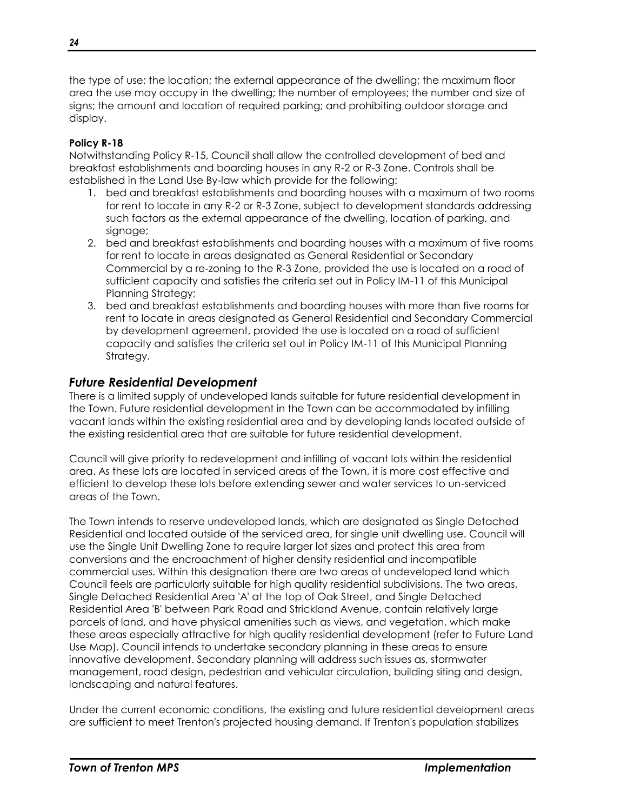the type of use; the location; the external appearance of the dwelling; the maximum floor area the use may occupy in the dwelling; the number of employees; the number and size of signs; the amount and location of required parking; and prohibiting outdoor storage and display.

## **Policy R-18**

Notwithstanding Policy R-15, Council shall allow the controlled development of bed and breakfast establishments and boarding houses in any R-2 or R-3 Zone. Controls shall be established in the Land Use By-law which provide for the following:

- 1. bed and breakfast establishments and boarding houses with a maximum of two rooms for rent to locate in any R-2 or R-3 Zone, subject to development standards addressing such factors as the external appearance of the dwelling, location of parking, and signage;
- 2. bed and breakfast establishments and boarding houses with a maximum of five rooms for rent to locate in areas designated as General Residential or Secondary Commercial by a re-zoning to the R-3 Zone, provided the use is located on a road of sufficient capacity and satisfies the criteria set out in Policy IM-11 of this Municipal Planning Strategy;
- 3. bed and breakfast establishments and boarding houses with more than five rooms for rent to locate in areas designated as General Residential and Secondary Commercial by development agreement, provided the use is located on a road of sufficient capacity and satisfies the criteria set out in Policy IM-11 of this Municipal Planning Strategy.

## <span id="page-25-0"></span>*Future Residential Development*

There is a limited supply of undeveloped lands suitable for future residential development in the Town. Future residential development in the Town can be accommodated by infilling vacant lands within the existing residential area and by developing lands located outside of the existing residential area that are suitable for future residential development.

Council will give priority to redevelopment and infilling of vacant lots within the residential area. As these lots are located in serviced areas of the Town, it is more cost effective and efficient to develop these lots before extending sewer and water services to un-serviced areas of the Town.

The Town intends to reserve undeveloped lands, which are designated as Single Detached Residential and located outside of the serviced area, for single unit dwelling use. Council will use the Single Unit Dwelling Zone to require larger lot sizes and protect this area from conversions and the encroachment of higher density residential and incompatible commercial uses. Within this designation there are two areas of undeveloped land which Council feels are particularly suitable for high quality residential subdivisions. The two areas, Single Detached Residential Area 'A' at the top of Oak Street, and Single Detached Residential Area 'B' between Park Road and Strickland Avenue, contain relatively large parcels of land, and have physical amenities such as views, and vegetation, which make these areas especially attractive for high quality residential development (refer to Future Land Use Map). Council intends to undertake secondary planning in these areas to ensure innovative development. Secondary planning will address such issues as, stormwater management, road design, pedestrian and vehicular circulation, building siting and design, landscaping and natural features.

Under the current economic conditions, the existing and future residential development areas are sufficient to meet Trenton's projected housing demand. If Trenton's population stabilizes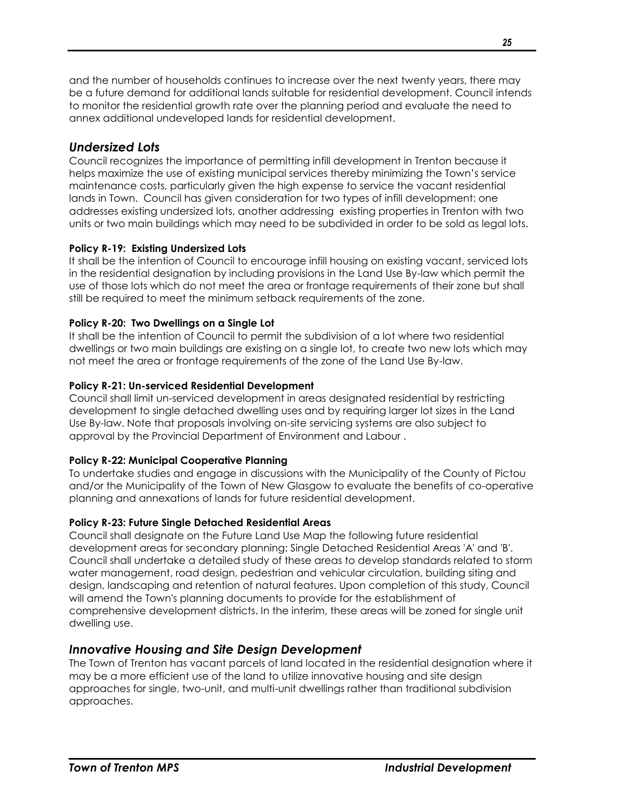and the number of households continues to increase over the next twenty years, there may be a future demand for additional lands suitable for residential development. Council intends to monitor the residential growth rate over the planning period and evaluate the need to annex additional undeveloped lands for residential development.

## <span id="page-26-0"></span>*Undersized Lots*

Council recognizes the importance of permitting infill development in Trenton because it helps maximize the use of existing municipal services thereby minimizing the Town's service maintenance costs, particularly given the high expense to service the vacant residential lands in Town. Council has given consideration for two types of infill development: one addresses existing undersized lots, another addressing existing properties in Trenton with two units or two main buildings which may need to be subdivided in order to be sold as legal lots.

## **Policy R-19: Existing Undersized Lots**

It shall be the intention of Council to encourage infill housing on existing vacant, serviced lots in the residential designation by including provisions in the Land Use By-law which permit the use of those lots which do not meet the area or frontage requirements of their zone but shall still be required to meet the minimum setback requirements of the zone.

## **Policy R-20: Two Dwellings on a Single Lot**

It shall be the intention of Council to permit the subdivision of a lot where two residential dwellings or two main buildings are existing on a single lot, to create two new lots which may not meet the area or frontage requirements of the zone of the Land Use By-law.

## **Policy R-21: Un-serviced Residential Development**

Council shall limit un-serviced development in areas designated residential by restricting development to single detached dwelling uses and by requiring larger lot sizes in the Land Use By-law. Note that proposals involving on-site servicing systems are also subject to approval by the Provincial Department of Environment and Labour .

## **Policy R-22: Municipal Cooperative Planning**

To undertake studies and engage in discussions with the Municipality of the County of Pictou and/or the Municipality of the Town of New Glasgow to evaluate the benefits of co-operative planning and annexations of lands for future residential development.

## **Policy R-23: Future Single Detached Residential Areas**

Council shall designate on the Future Land Use Map the following future residential development areas for secondary planning: Single Detached Residential Areas 'A' and 'B'. Council shall undertake a detailed study of these areas to develop standards related to storm water management, road design, pedestrian and vehicular circulation, building siting and design, landscaping and retention of natural features. Upon completion of this study, Council will amend the Town's planning documents to provide for the establishment of comprehensive development districts. In the interim, these areas will be zoned for single unit dwelling use.

## <span id="page-26-1"></span>*Innovative Housing and Site Design Development*

The Town of Trenton has vacant parcels of land located in the residential designation where it may be a more efficient use of the land to utilize innovative housing and site design approaches for single, two-unit, and multi-unit dwellings rather than traditional subdivision approaches.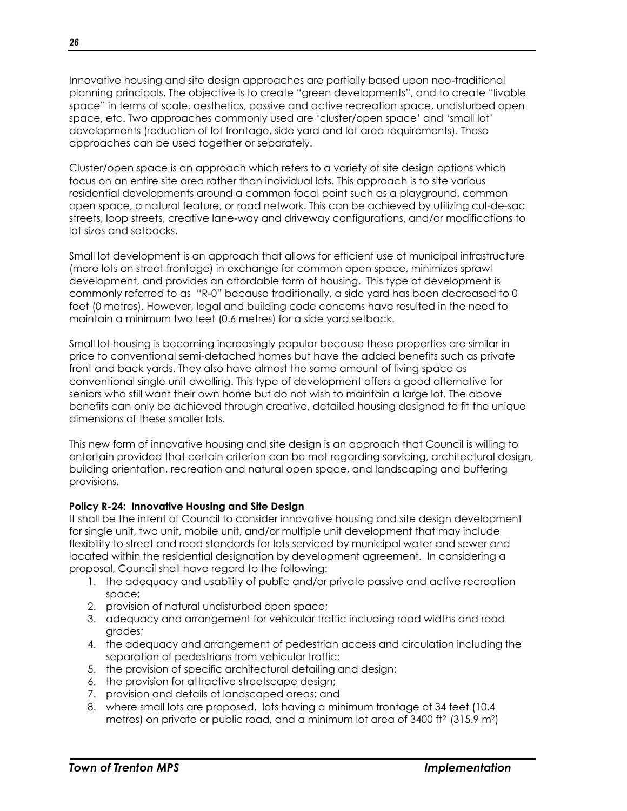Innovative housing and site design approaches are partially based upon neo-traditional planning principals. The objective is to create "green developments", and to create "livable space" in terms of scale, aesthetics, passive and active recreation space, undisturbed open space, etc. Two approaches commonly used are 'cluster/open space' and 'small lot' developments (reduction of lot frontage, side yard and lot area requirements). These approaches can be used together or separately.

Cluster/open space is an approach which refers to a variety of site design options which focus on an entire site area rather than individual lots. This approach is to site various residential developments around a common focal point such as a playground, common open space, a natural feature, or road network. This can be achieved by utilizing cul-de-sac streets, loop streets, creative lane-way and driveway configurations, and/or modifications to lot sizes and setbacks.

Small lot development is an approach that allows for efficient use of municipal infrastructure (more lots on street frontage) in exchange for common open space, minimizes sprawl development, and provides an affordable form of housing. This type of development is commonly referred to as "R-0" because traditionally, a side yard has been decreased to 0 feet (0 metres). However, legal and building code concerns have resulted in the need to maintain a minimum two feet (0.6 metres) for a side yard setback.

Small lot housing is becoming increasingly popular because these properties are similar in price to conventional semi-detached homes but have the added benefits such as private front and back yards. They also have almost the same amount of living space as conventional single unit dwelling. This type of development offers a good alternative for seniors who still want their own home but do not wish to maintain a large lot. The above benefits can only be achieved through creative, detailed housing designed to fit the unique dimensions of these smaller lots.

This new form of innovative housing and site design is an approach that Council is willing to entertain provided that certain criterion can be met regarding servicing, architectural design, building orientation, recreation and natural open space, and landscaping and buffering provisions.

## **Policy R-24: Innovative Housing and Site Design**

It shall be the intent of Council to consider innovative housing and site design development for single unit, two unit, mobile unit, and/or multiple unit development that may include flexibility to street and road standards for lots serviced by municipal water and sewer and located within the residential designation by development agreement. In considering a proposal, Council shall have regard to the following:

- 1. the adequacy and usability of public and/or private passive and active recreation space;
- 2. provision of natural undisturbed open space;
- 3. adequacy and arrangement for vehicular traffic including road widths and road grades;
- 4. the adequacy and arrangement of pedestrian access and circulation including the separation of pedestrians from vehicular traffic;
- 5. the provision of specific architectural detailing and design;
- 6. the provision for attractive streetscape design;
- 7. provision and details of landscaped areas; and
- 8. where small lots are proposed, lots having a minimum frontage of 34 feet (10.4 metres) on private or public road, and a minimum lot area of 3400 ft<sup>2</sup> (315.9 m<sup>2</sup>)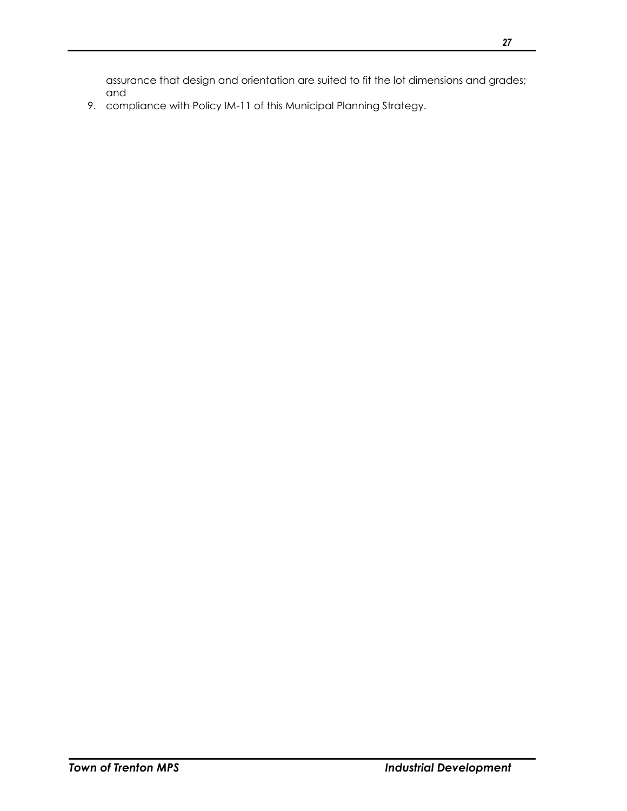assurance that design and orientation are suited to fit the lot dimensions and grades; and

9. compliance with Policy IM-11 of this Municipal Planning Strategy.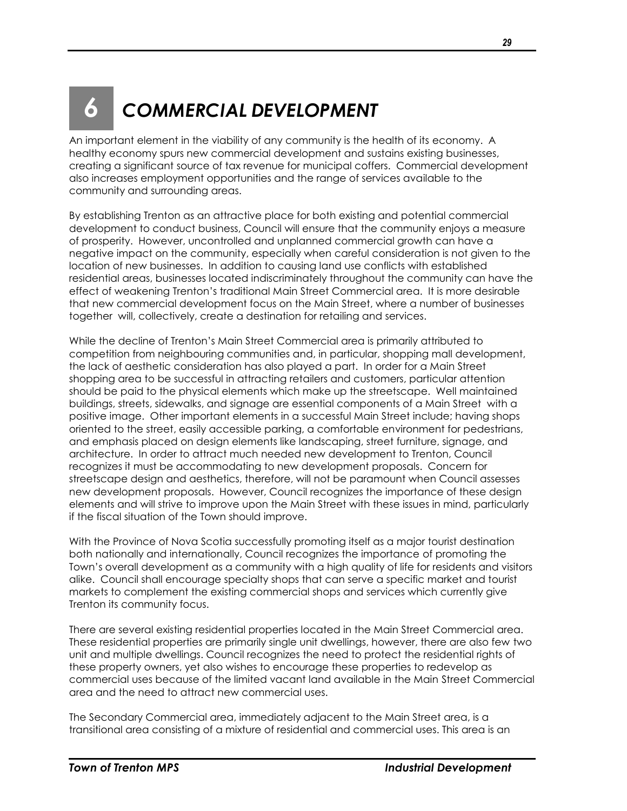## <span id="page-30-0"></span>*6 COMMERCIAL DEVELOPMENT*

An important element in the viability of any community is the health of its economy. A healthy economy spurs new commercial development and sustains existing businesses, creating a significant source of tax revenue for municipal coffers. Commercial development also increases employment opportunities and the range of services available to the community and surrounding areas.

By establishing Trenton as an attractive place for both existing and potential commercial development to conduct business, Council will ensure that the community enjoys a measure of prosperity. However, uncontrolled and unplanned commercial growth can have a negative impact on the community, especially when careful consideration is not given to the location of new businesses. In addition to causing land use conflicts with established residential areas, businesses located indiscriminately throughout the community can have the effect of weakening Trenton's traditional Main Street Commercial area. It is more desirable that new commercial development focus on the Main Street, where a number of businesses together will, collectively, create a destination for retailing and services.

While the decline of Trenton's Main Street Commercial area is primarily attributed to competition from neighbouring communities and, in particular, shopping mall development, the lack of aesthetic consideration has also played a part. In order for a Main Street shopping area to be successful in attracting retailers and customers, particular attention should be paid to the physical elements which make up the streetscape. Well maintained buildings, streets, sidewalks, and signage are essential components of a Main Street with a positive image. Other important elements in a successful Main Street include; having shops oriented to the street, easily accessible parking, a comfortable environment for pedestrians, and emphasis placed on design elements like landscaping, street furniture, signage, and architecture. In order to attract much needed new development to Trenton, Council recognizes it must be accommodating to new development proposals. Concern for streetscape design and aesthetics, therefore, will not be paramount when Council assesses new development proposals. However, Council recognizes the importance of these design elements and will strive to improve upon the Main Street with these issues in mind, particularly if the fiscal situation of the Town should improve.

With the Province of Nova Scotia successfully promoting itself as a major tourist destination both nationally and internationally, Council recognizes the importance of promoting the Town's overall development as a community with a high quality of life for residents and visitors alike. Council shall encourage specialty shops that can serve a specific market and tourist markets to complement the existing commercial shops and services which currently give Trenton its community focus.

There are several existing residential properties located in the Main Street Commercial area. These residential properties are primarily single unit dwellings, however, there are also few two unit and multiple dwellings. Council recognizes the need to protect the residential rights of these property owners, yet also wishes to encourage these properties to redevelop as commercial uses because of the limited vacant land available in the Main Street Commercial area and the need to attract new commercial uses.

The Secondary Commercial area, immediately adjacent to the Main Street area, is a transitional area consisting of a mixture of residential and commercial uses. This area is an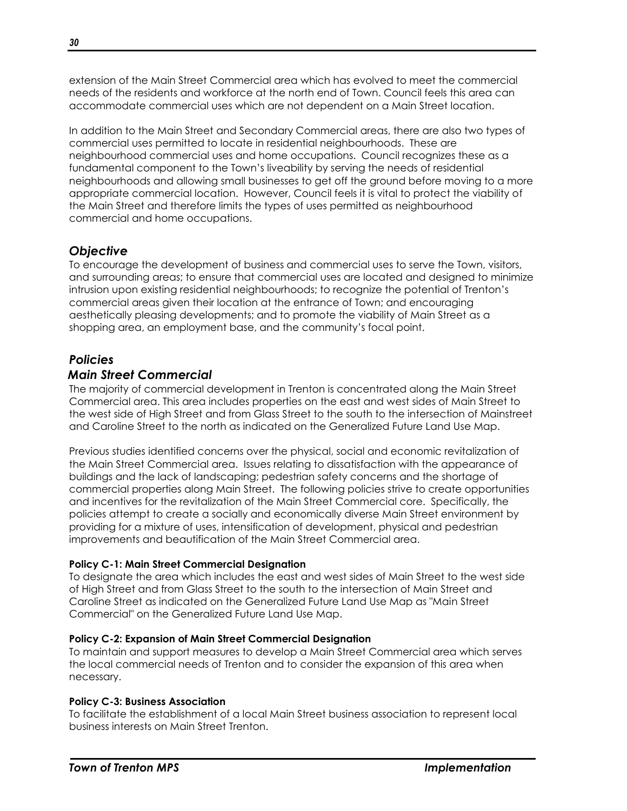extension of the Main Street Commercial area which has evolved to meet the commercial needs of the residents and workforce at the north end of Town. Council feels this area can accommodate commercial uses which are not dependent on a Main Street location.

In addition to the Main Street and Secondary Commercial areas, there are also two types of commercial uses permitted to locate in residential neighbourhoods. These are neighbourhood commercial uses and home occupations. Council recognizes these as a fundamental component to the Town's liveability by serving the needs of residential neighbourhoods and allowing small businesses to get off the ground before moving to a more appropriate commercial location. However, Council feels it is vital to protect the viability of the Main Street and therefore limits the types of uses permitted as neighbourhood commercial and home occupations.

## <span id="page-31-0"></span>*Objective*

To encourage the development of business and commercial uses to serve the Town, visitors, and surrounding areas; to ensure that commercial uses are located and designed to minimize intrusion upon existing residential neighbourhoods; to recognize the potential of Trenton's commercial areas given their location at the entrance of Town; and encouraging aesthetically pleasing developments; and to promote the viability of Main Street as a shopping area, an employment base, and the community's focal point.

## <span id="page-31-1"></span>*Policies*

## <span id="page-31-2"></span>*Main Street Commercial*

The majority of commercial development in Trenton is concentrated along the Main Street Commercial area. This area includes properties on the east and west sides of Main Street to the west side of High Street and from Glass Street to the south to the intersection of Mainstreet and Caroline Street to the north as indicated on the Generalized Future Land Use Map.

Previous studies identified concerns over the physical, social and economic revitalization of the Main Street Commercial area. Issues relating to dissatisfaction with the appearance of buildings and the lack of landscaping; pedestrian safety concerns and the shortage of commercial properties along Main Street. The following policies strive to create opportunities and incentives for the revitalization of the Main Street Commercial core. Specifically, the policies attempt to create a socially and economically diverse Main Street environment by providing for a mixture of uses, intensification of development, physical and pedestrian improvements and beautification of the Main Street Commercial area.

## **Policy C-1: Main Street Commercial Designation**

To designate the area which includes the east and west sides of Main Street to the west side of High Street and from Glass Street to the south to the intersection of Main Street and Caroline Street as indicated on the Generalized Future Land Use Map as "Main Street Commercial" on the Generalized Future Land Use Map.

## **Policy C-2: Expansion of Main Street Commercial Designation**

To maintain and support measures to develop a Main Street Commercial area which serves the local commercial needs of Trenton and to consider the expansion of this area when necessary.

## **Policy C-3: Business Association**

To facilitate the establishment of a local Main Street business association to represent local business interests on Main Street Trenton.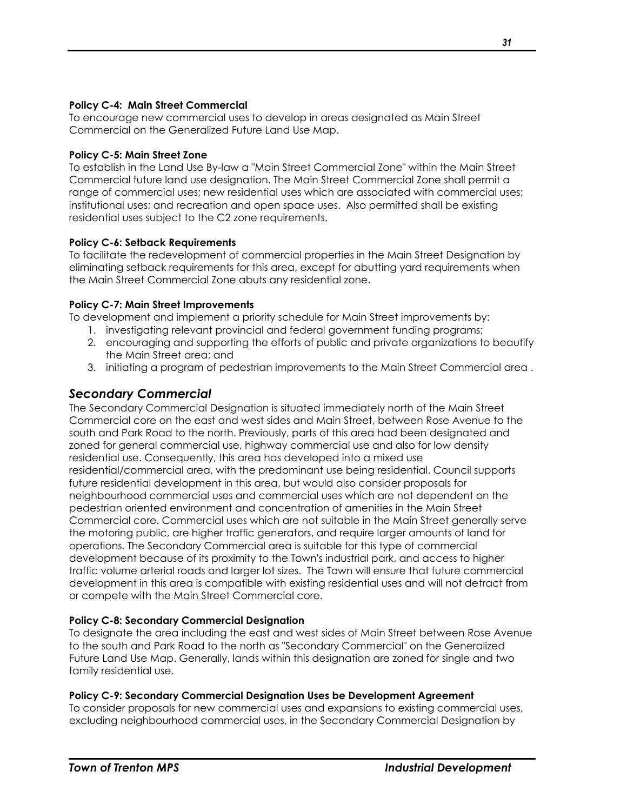#### **Policy C-4: Main Street Commercial**

To encourage new commercial uses to develop in areas designated as Main Street Commercial on the Generalized Future Land Use Map.

#### **Policy C-5: Main Street Zone**

To establish in the Land Use By-law a "Main Street Commercial Zone" within the Main Street Commercial future land use designation. The Main Street Commercial Zone shall permit a range of commercial uses; new residential uses which are associated with commercial uses; institutional uses; and recreation and open space uses. Also permitted shall be existing residential uses subject to the C2 zone requirements.

## **Policy C-6: Setback Requirements**

To facilitate the redevelopment of commercial properties in the Main Street Designation by eliminating setback requirements for this area, except for abutting yard requirements when the Main Street Commercial Zone abuts any residential zone.

#### **Policy C-7: Main Street Improvements**

To development and implement a priority schedule for Main Street improvements by:

- 1. investigating relevant provincial and federal government funding programs;
- 2. encouraging and supporting the efforts of public and private organizations to beautify the Main Street area; and
- 3. initiating a program of pedestrian improvements to the Main Street Commercial area .

## <span id="page-32-0"></span>*Secondary Commercial*

The Secondary Commercial Designation is situated immediately north of the Main Street Commercial core on the east and west sides and Main Street, between Rose Avenue to the south and Park Road to the north. Previously, parts of this area had been designated and zoned for general commercial use, highway commercial use and also for low density residential use. Consequently, this area has developed into a mixed use residential/commercial area, with the predominant use being residential. Council supports future residential development in this area, but would also consider proposals for neighbourhood commercial uses and commercial uses which are not dependent on the pedestrian oriented environment and concentration of amenities in the Main Street Commercial core. Commercial uses which are not suitable in the Main Street generally serve the motoring public, are higher traffic generators, and require larger amounts of land for operations. The Secondary Commercial area is suitable for this type of commercial development because of its proximity to the Town's industrial park, and access to higher traffic volume arterial roads and larger lot sizes. The Town will ensure that future commercial development in this area is compatible with existing residential uses and will not detract from or compete with the Main Street Commercial core.

## **Policy C-8: Secondary Commercial Designation**

To designate the area including the east and west sides of Main Street between Rose Avenue to the south and Park Road to the north as "Secondary Commercial" on the Generalized Future Land Use Map. Generally, lands within this designation are zoned for single and two family residential use.

#### **Policy C-9: Secondary Commercial Designation Uses be Development Agreement**

To consider proposals for new commercial uses and expansions to existing commercial uses, excluding neighbourhood commercial uses, in the Secondary Commercial Designation by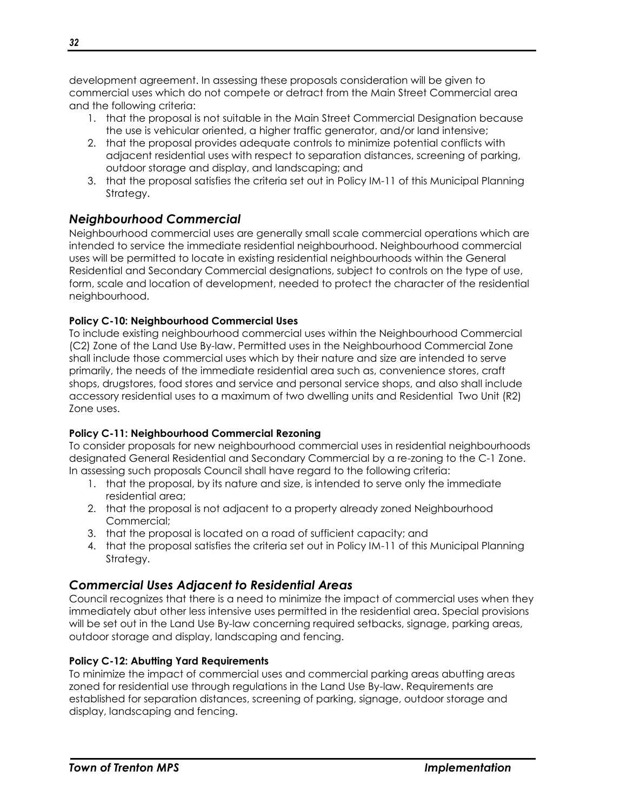development agreement. In assessing these proposals consideration will be given to commercial uses which do not compete or detract from the Main Street Commercial area and the following criteria:

- 1. that the proposal is not suitable in the Main Street Commercial Designation because the use is vehicular oriented, a higher traffic generator, and/or land intensive;
- 2. that the proposal provides adequate controls to minimize potential conflicts with adjacent residential uses with respect to separation distances, screening of parking, outdoor storage and display, and landscaping; and
- 3. that the proposal satisfies the criteria set out in Policy IM-11 of this Municipal Planning Strategy.

## <span id="page-33-0"></span>*Neighbourhood Commercial*

Neighbourhood commercial uses are generally small scale commercial operations which are intended to service the immediate residential neighbourhood. Neighbourhood commercial uses will be permitted to locate in existing residential neighbourhoods within the General Residential and Secondary Commercial designations, subject to controls on the type of use, form, scale and location of development, needed to protect the character of the residential neighbourhood.

## **Policy C-10: Neighbourhood Commercial Uses**

To include existing neighbourhood commercial uses within the Neighbourhood Commercial (C2) Zone of the Land Use By-law. Permitted uses in the Neighbourhood Commercial Zone shall include those commercial uses which by their nature and size are intended to serve primarily, the needs of the immediate residential area such as, convenience stores, craft shops, drugstores, food stores and service and personal service shops, and also shall include accessory residential uses to a maximum of two dwelling units and Residential Two Unit (R2) Zone uses.

## **Policy C-11: Neighbourhood Commercial Rezoning**

To consider proposals for new neighbourhood commercial uses in residential neighbourhoods designated General Residential and Secondary Commercial by a re-zoning to the C-1 Zone. In assessing such proposals Council shall have regard to the following criteria:

- 1. that the proposal, by its nature and size, is intended to serve only the immediate residential area;
- 2. that the proposal is not adjacent to a property already zoned Neighbourhood Commercial;
- 3. that the proposal is located on a road of sufficient capacity; and
- 4. that the proposal satisfies the criteria set out in Policy IM-11 of this Municipal Planning Strategy.

## <span id="page-33-1"></span>*Commercial Uses Adjacent to Residential Areas*

Council recognizes that there is a need to minimize the impact of commercial uses when they immediately abut other less intensive uses permitted in the residential area. Special provisions will be set out in the Land Use By-law concerning required setbacks, signage, parking areas, outdoor storage and display, landscaping and fencing.

## **Policy C-12: Abutting Yard Requirements**

To minimize the impact of commercial uses and commercial parking areas abutting areas zoned for residential use through regulations in the Land Use By-law. Requirements are established for separation distances, screening of parking, signage, outdoor storage and display, landscaping and fencing.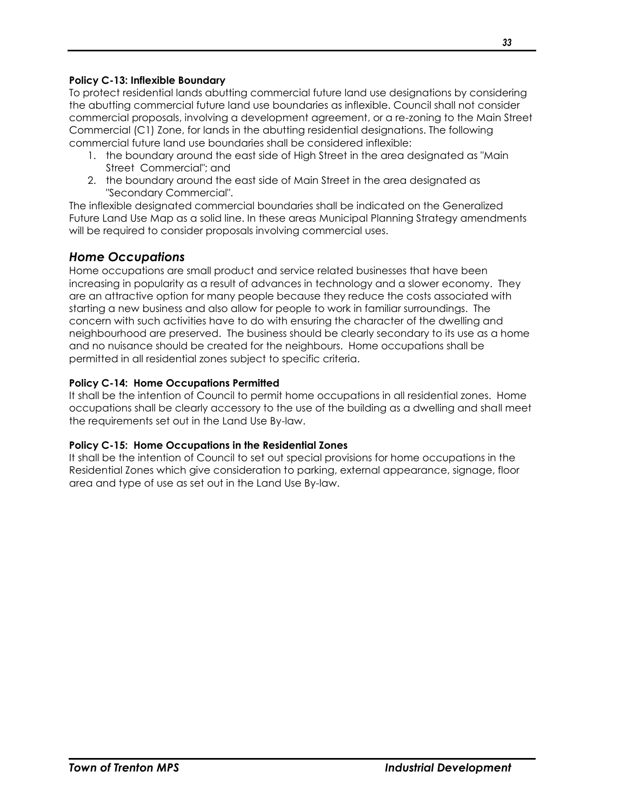#### **Policy C-13: Inflexible Boundary**

To protect residential lands abutting commercial future land use designations by considering the abutting commercial future land use boundaries as inflexible. Council shall not consider commercial proposals, involving a development agreement, or a re-zoning to the Main Street Commercial (C1) Zone, for lands in the abutting residential designations. The following commercial future land use boundaries shall be considered inflexible:

- 1. the boundary around the east side of High Street in the area designated as "Main Street Commercial"; and
- 2. the boundary around the east side of Main Street in the area designated as "Secondary Commercial".

The inflexible designated commercial boundaries shall be indicated on the Generalized Future Land Use Map as a solid line. In these areas Municipal Planning Strategy amendments will be required to consider proposals involving commercial uses.

## <span id="page-34-0"></span>*Home Occupations*

Home occupations are small product and service related businesses that have been increasing in popularity as a result of advances in technology and a slower economy. They are an attractive option for many people because they reduce the costs associated with starting a new business and also allow for people to work in familiar surroundings. The concern with such activities have to do with ensuring the character of the dwelling and neighbourhood are preserved. The business should be clearly secondary to its use as a home and no nuisance should be created for the neighbours. Home occupations shall be permitted in all residential zones subject to specific criteria.

## **Policy C-14: Home Occupations Permitted**

It shall be the intention of Council to permit home occupations in all residential zones. Home occupations shall be clearly accessory to the use of the building as a dwelling and shall meet the requirements set out in the Land Use By-law.

## **Policy C-15: Home Occupations in the Residential Zones**

It shall be the intention of Council to set out special provisions for home occupations in the Residential Zones which give consideration to parking, external appearance, signage, floor area and type of use as set out in the Land Use By-law.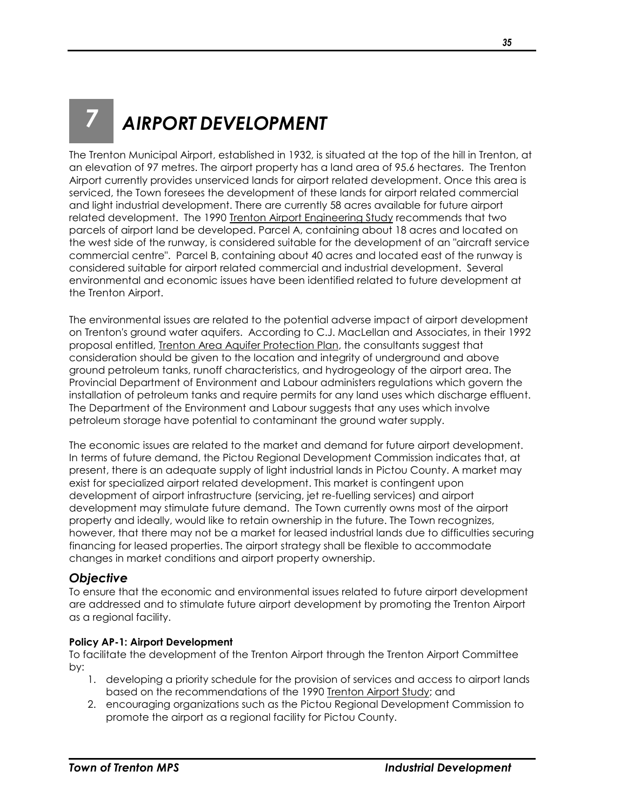# <span id="page-36-0"></span>*7 AIRPORT DEVELOPMENT*

The Trenton Municipal Airport, established in 1932, is situated at the top of the hill in Trenton, at an elevation of 97 metres. The airport property has a land area of 95.6 hectares. The Trenton Airport currently provides unserviced lands for airport related development. Once this area is serviced, the Town foresees the development of these lands for airport related commercial and light industrial development. There are currently 58 acres available for future airport related development. The 1990 Trenton Airport Engineering Study recommends that two parcels of airport land be developed. Parcel A, containing about 18 acres and located on the west side of the runway, is considered suitable for the development of an "aircraft service commercial centre". Parcel B, containing about 40 acres and located east of the runway is considered suitable for airport related commercial and industrial development. Several environmental and economic issues have been identified related to future development at the Trenton Airport.

The environmental issues are related to the potential adverse impact of airport development on Trenton's ground water aquifers. According to C.J. MacLellan and Associates, in their 1992 proposal entitled, Trenton Area Aquifer Protection Plan, the consultants suggest that consideration should be given to the location and integrity of underground and above ground petroleum tanks, runoff characteristics, and hydrogeology of the airport area. The Provincial Department of Environment and Labour administers regulations which govern the installation of petroleum tanks and require permits for any land uses which discharge effluent. The Department of the Environment and Labour suggests that any uses which involve petroleum storage have potential to contaminant the ground water supply.

The economic issues are related to the market and demand for future airport development. In terms of future demand, the Pictou Regional Development Commission indicates that, at present, there is an adequate supply of light industrial lands in Pictou County. A market may exist for specialized airport related development. This market is contingent upon development of airport infrastructure (servicing, jet re-fuelling services) and airport development may stimulate future demand. The Town currently owns most of the airport property and ideally, would like to retain ownership in the future. The Town recognizes, however, that there may not be a market for leased industrial lands due to difficulties securing financing for leased properties. The airport strategy shall be flexible to accommodate changes in market conditions and airport property ownership.

## <span id="page-36-1"></span>*Objective*

To ensure that the economic and environmental issues related to future airport development are addressed and to stimulate future airport development by promoting the Trenton Airport as a regional facility.

## **Policy AP-1: Airport Development**

To facilitate the development of the Trenton Airport through the Trenton Airport Committee by:

- 1. developing a priority schedule for the provision of services and access to airport lands based on the recommendations of the 1990 Trenton Airport Study; and
- 2. encouraging organizations such as the Pictou Regional Development Commission to promote the airport as a regional facility for Pictou County.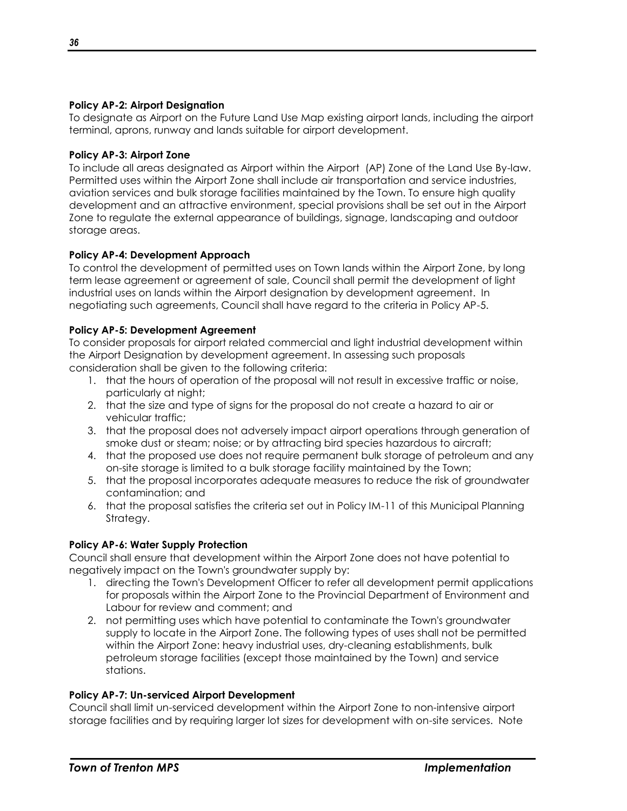#### **Policy AP-2: Airport Designation**

To designate as Airport on the Future Land Use Map existing airport lands, including the airport terminal, aprons, runway and lands suitable for airport development.

## **Policy AP-3: Airport Zone**

To include all areas designated as Airport within the Airport (AP) Zone of the Land Use By-law. Permitted uses within the Airport Zone shall include air transportation and service industries, aviation services and bulk storage facilities maintained by the Town. To ensure high quality development and an attractive environment, special provisions shall be set out in the Airport Zone to regulate the external appearance of buildings, signage, landscaping and outdoor storage areas.

#### **Policy AP-4: Development Approach**

To control the development of permitted uses on Town lands within the Airport Zone, by long term lease agreement or agreement of sale, Council shall permit the development of light industrial uses on lands within the Airport designation by development agreement. In negotiating such agreements, Council shall have regard to the criteria in Policy AP-5.

#### **Policy AP-5: Development Agreement**

To consider proposals for airport related commercial and light industrial development within the Airport Designation by development agreement. In assessing such proposals consideration shall be given to the following criteria:

- 1. that the hours of operation of the proposal will not result in excessive traffic or noise, particularly at night;
- 2. that the size and type of signs for the proposal do not create a hazard to air or vehicular traffic;
- 3. that the proposal does not adversely impact airport operations through generation of smoke dust or steam; noise; or by attracting bird species hazardous to aircraft;
- 4. that the proposed use does not require permanent bulk storage of petroleum and any on-site storage is limited to a bulk storage facility maintained by the Town;
- 5. that the proposal incorporates adequate measures to reduce the risk of groundwater contamination; and
- 6. that the proposal satisfies the criteria set out in Policy IM-11 of this Municipal Planning Strategy.

## **Policy AP-6: Water Supply Protection**

Council shall ensure that development within the Airport Zone does not have potential to negatively impact on the Town's groundwater supply by:

- 1. directing the Town's Development Officer to refer all development permit applications for proposals within the Airport Zone to the Provincial Department of Environment and Labour for review and comment; and
- 2. not permitting uses which have potential to contaminate the Town's groundwater supply to locate in the Airport Zone. The following types of uses shall not be permitted within the Airport Zone: heavy industrial uses, dry-cleaning establishments, bulk petroleum storage facilities (except those maintained by the Town) and service stations.

#### **Policy AP-7: Un-serviced Airport Development**

Council shall limit un-serviced development within the Airport Zone to non-intensive airport storage facilities and by requiring larger lot sizes for development with on-site services. Note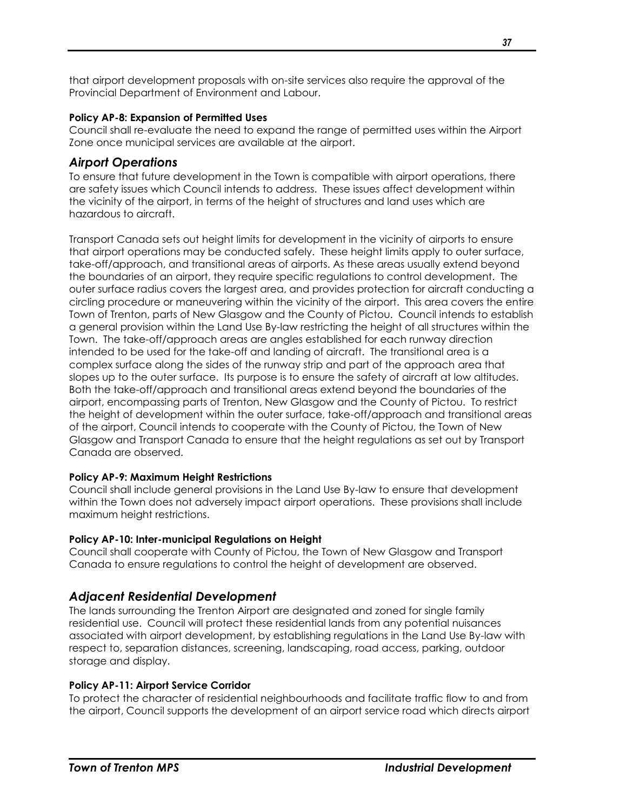that airport development proposals with on-site services also require the approval of the Provincial Department of Environment and Labour.

## **Policy AP-8: Expansion of Permitted Uses**

Council shall re-evaluate the need to expand the range of permitted uses within the Airport Zone once municipal services are available at the airport.

## <span id="page-38-0"></span>*Airport Operations*

To ensure that future development in the Town is compatible with airport operations, there are safety issues which Council intends to address. These issues affect development within the vicinity of the airport, in terms of the height of structures and land uses which are hazardous to aircraft.

Transport Canada sets out height limits for development in the vicinity of airports to ensure that airport operations may be conducted safely. These height limits apply to outer surface, take-off/approach, and transitional areas of airports. As these areas usually extend beyond the boundaries of an airport, they require specific regulations to control development. The outer surface radius covers the largest area, and provides protection for aircraft conducting a circling procedure or maneuvering within the vicinity of the airport. This area covers the entire Town of Trenton, parts of New Glasgow and the County of Pictou. Council intends to establish a general provision within the Land Use By-law restricting the height of all structures within the Town. The take-off/approach areas are angles established for each runway direction intended to be used for the take-off and landing of aircraft. The transitional area is a complex surface along the sides of the runway strip and part of the approach area that slopes up to the outer surface. Its purpose is to ensure the safety of aircraft at low altitudes. Both the take-off/approach and transitional areas extend beyond the boundaries of the airport, encompassing parts of Trenton, New Glasgow and the County of Pictou. To restrict the height of development within the outer surface, take-off/approach and transitional areas of the airport, Council intends to cooperate with the County of Pictou, the Town of New Glasgow and Transport Canada to ensure that the height regulations as set out by Transport Canada are observed.

## **Policy AP-9: Maximum Height Restrictions**

Council shall include general provisions in the Land Use By-law to ensure that development within the Town does not adversely impact airport operations. These provisions shall include maximum height restrictions.

## **Policy AP-10: Inter-municipal Regulations on Height**

Council shall cooperate with County of Pictou, the Town of New Glasgow and Transport Canada to ensure regulations to control the height of development are observed.

## <span id="page-38-1"></span>*Adjacent Residential Development*

The lands surrounding the Trenton Airport are designated and zoned for single family residential use. Council will protect these residential lands from any potential nuisances associated with airport development, by establishing regulations in the Land Use By-law with respect to, separation distances, screening, landscaping, road access, parking, outdoor storage and display.

## **Policy AP-11: Airport Service Corridor**

To protect the character of residential neighbourhoods and facilitate traffic flow to and from the airport, Council supports the development of an airport service road which directs airport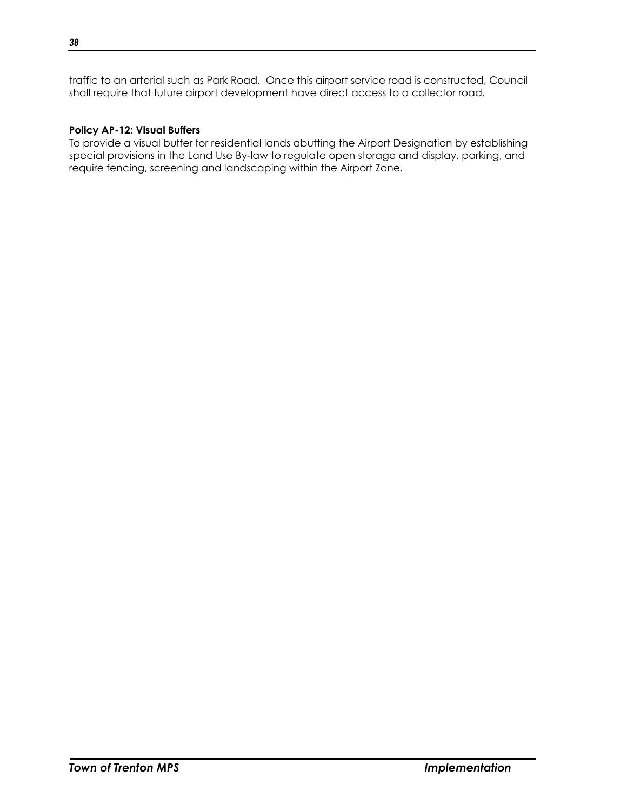traffic to an arterial such as Park Road. Once this airport service road is constructed, Council shall require that future airport development have direct access to a collector road.

## **Policy AP-12: Visual Buffers**

To provide a visual buffer for residential lands abutting the Airport Designation by establishing special provisions in the Land Use By-law to regulate open storage and display, parking, and require fencing, screening and landscaping within the Airport Zone.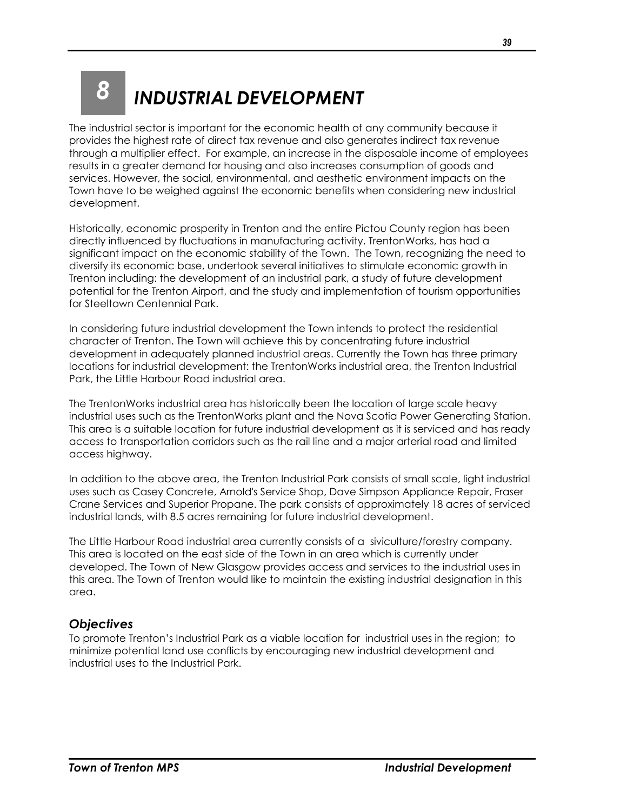## <span id="page-40-0"></span>*8 INDUSTRIAL DEVELOPMENT*

The industrial sector is important for the economic health of any community because it provides the highest rate of direct tax revenue and also generates indirect tax revenue through a multiplier effect. For example, an increase in the disposable income of employees results in a greater demand for housing and also increases consumption of goods and services. However, the social, environmental, and aesthetic environment impacts on the Town have to be weighed against the economic benefits when considering new industrial development.

Historically, economic prosperity in Trenton and the entire Pictou County region has been directly influenced by fluctuations in manufacturing activity. TrentonWorks, has had a significant impact on the economic stability of the Town. The Town, recognizing the need to diversify its economic base, undertook several initiatives to stimulate economic growth in Trenton including: the development of an industrial park, a study of future development potential for the Trenton Airport, and the study and implementation of tourism opportunities for Steeltown Centennial Park.

In considering future industrial development the Town intends to protect the residential character of Trenton. The Town will achieve this by concentrating future industrial development in adequately planned industrial areas. Currently the Town has three primary locations for industrial development: the TrentonWorks industrial area, the Trenton Industrial Park, the Little Harbour Road industrial area.

The TrentonWorks industrial area has historically been the location of large scale heavy industrial uses such as the TrentonWorks plant and the Nova Scotia Power Generating Station. This area is a suitable location for future industrial development as it is serviced and has ready access to transportation corridors such as the rail line and a major arterial road and limited access highway.

In addition to the above area, the Trenton Industrial Park consists of small scale, light industrial uses such as Casey Concrete, Arnold's Service Shop, Dave Simpson Appliance Repair, Fraser Crane Services and Superior Propane. The park consists of approximately 18 acres of serviced industrial lands, with 8.5 acres remaining for future industrial development.

The Little Harbour Road industrial area currently consists of a siviculture/forestry company. This area is located on the east side of the Town in an area which is currently under developed. The Town of New Glasgow provides access and services to the industrial uses in this area. The Town of Trenton would like to maintain the existing industrial designation in this area.

## <span id="page-40-1"></span>*Objectives*

To promote Trenton's Industrial Park as a viable location for industrial uses in the region; to minimize potential land use conflicts by encouraging new industrial development and industrial uses to the Industrial Park.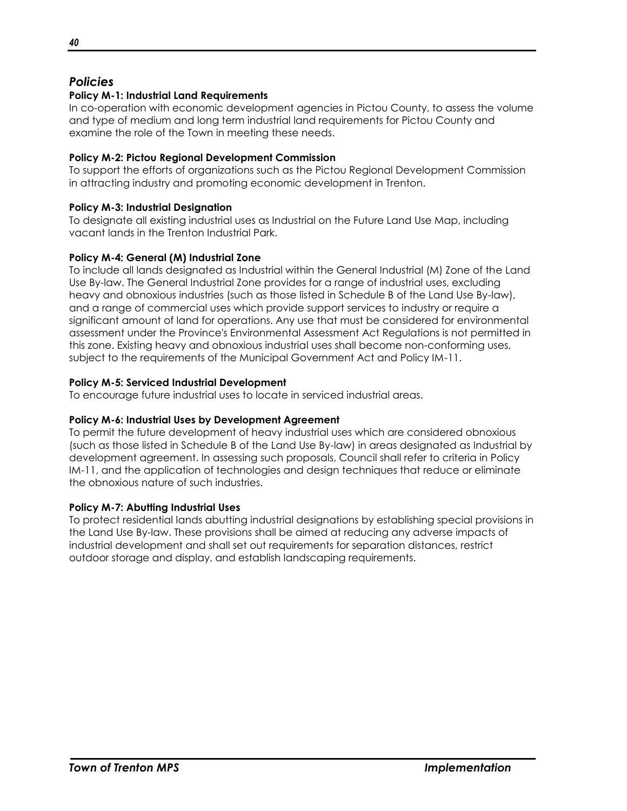## <span id="page-41-0"></span>*Policies*

## **Policy M-1: Industrial Land Requirements**

In co-operation with economic development agencies in Pictou County, to assess the volume and type of medium and long term industrial land requirements for Pictou County and examine the role of the Town in meeting these needs.

## **Policy M-2: Pictou Regional Development Commission**

To support the efforts of organizations such as the Pictou Regional Development Commission in attracting industry and promoting economic development in Trenton.

## **Policy M-3: Industrial Designation**

To designate all existing industrial uses as Industrial on the Future Land Use Map, including vacant lands in the Trenton Industrial Park.

## **Policy M-4: General (M) Industrial Zone**

To include all lands designated as Industrial within the General Industrial (M) Zone of the Land Use By-law. The General Industrial Zone provides for a range of industrial uses, excluding heavy and obnoxious industries (such as those listed in Schedule B of the Land Use By-law), and a range of commercial uses which provide support services to industry or require a significant amount of land for operations. Any use that must be considered for environmental assessment under the Province's Environmental Assessment Act Regulations is not permitted in this zone. Existing heavy and obnoxious industrial uses shall become non-conforming uses, subject to the requirements of the Municipal Government Act and Policy IM-11.

## **Policy M-5: Serviced Industrial Development**

To encourage future industrial uses to locate in serviced industrial areas.

## **Policy M-6: Industrial Uses by Development Agreement**

To permit the future development of heavy industrial uses which are considered obnoxious (such as those listed in Schedule B of the Land Use By-law) in areas designated as Industrial by development agreement. In assessing such proposals, Council shall refer to criteria in Policy IM-11, and the application of technologies and design techniques that reduce or eliminate the obnoxious nature of such industries.

## **Policy M-7: Abutting Industrial Uses**

To protect residential lands abutting industrial designations by establishing special provisions in the Land Use By-law. These provisions shall be aimed at reducing any adverse impacts of industrial development and shall set out requirements for separation distances, restrict outdoor storage and display, and establish landscaping requirements.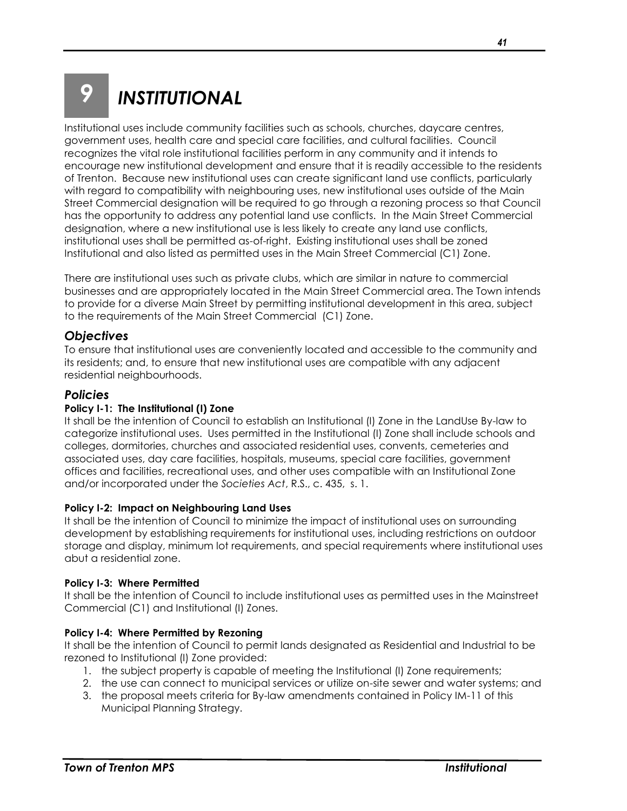## <span id="page-42-0"></span>*9 INSTITUTIONAL*

Institutional uses include community facilities such as schools, churches, daycare centres, government uses, health care and special care facilities, and cultural facilities. Council recognizes the vital role institutional facilities perform in any community and it intends to encourage new institutional development and ensure that it is readily accessible to the residents of Trenton. Because new institutional uses can create significant land use conflicts, particularly with regard to compatibility with neighbouring uses, new institutional uses outside of the Main Street Commercial designation will be required to go through a rezoning process so that Council has the opportunity to address any potential land use conflicts. In the Main Street Commercial designation, where a new institutional use is less likely to create any land use conflicts, institutional uses shall be permitted as-of-right. Existing institutional uses shall be zoned Institutional and also listed as permitted uses in the Main Street Commercial (C1) Zone.

There are institutional uses such as private clubs, which are similar in nature to commercial businesses and are appropriately located in the Main Street Commercial area. The Town intends to provide for a diverse Main Street by permitting institutional development in this area, subject to the requirements of the Main Street Commercial (C1) Zone.

## <span id="page-42-1"></span>*Objectives*

To ensure that institutional uses are conveniently located and accessible to the community and its residents; and, to ensure that new institutional uses are compatible with any adjacent residential neighbourhoods.

## <span id="page-42-2"></span>*Policies*

## **Policy I-1: The Institutional (I) Zone**

It shall be the intention of Council to establish an Institutional (I) Zone in the LandUse By-law to categorize institutional uses. Uses permitted in the Institutional (I) Zone shall include schools and colleges, dormitories, churches and associated residential uses, convents, cemeteries and associated uses, day care facilities, hospitals, museums, special care facilities, government offices and facilities, recreational uses, and other uses compatible with an Institutional Zone and/or incorporated under the *Societies Act*, R.S., c. 435, s. 1.

## **Policy I-2: Impact on Neighbouring Land Uses**

It shall be the intention of Council to minimize the impact of institutional uses on surrounding development by establishing requirements for institutional uses, including restrictions on outdoor storage and display, minimum lot requirements, and special requirements where institutional uses abut a residential zone.

#### **Policy I-3: Where Permitted**

It shall be the intention of Council to include institutional uses as permitted uses in the Mainstreet Commercial (C1) and Institutional (I) Zones.

## **Policy I-4: Where Permitted by Rezoning**

It shall be the intention of Council to permit lands designated as Residential and Industrial to be rezoned to Institutional (I) Zone provided:

- 1. the subject property is capable of meeting the Institutional (I) Zone requirements;
- 2. the use can connect to municipal services or utilize on-site sewer and water systems; and
- 3. the proposal meets criteria for By-law amendments contained in Policy IM-11 of this Municipal Planning Strategy.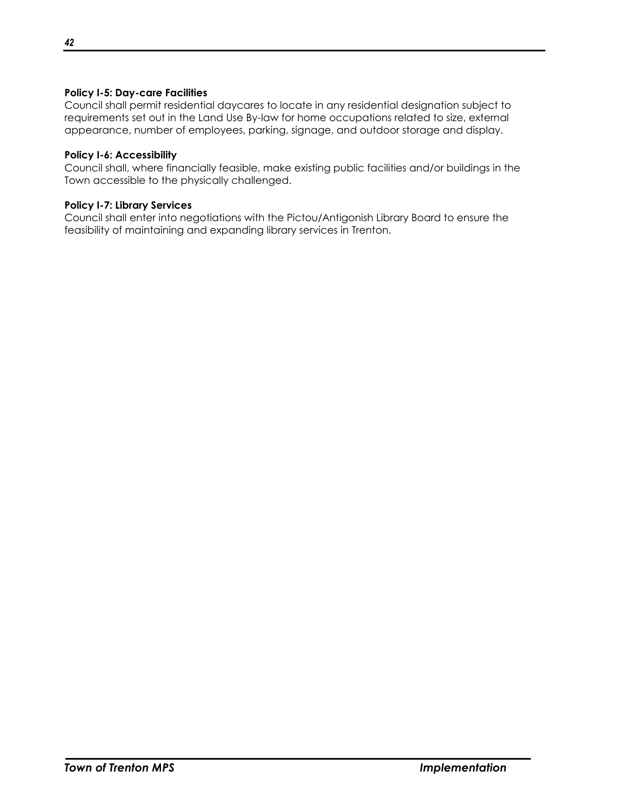## **Policy I-5: Day-care Facilities**

Council shall permit residential daycares to locate in any residential designation subject to requirements set out in the Land Use By-law for home occupations related to size, external appearance, number of employees, parking, signage, and outdoor storage and display.

## **Policy I-6: Accessibility**

Council shall, where financially feasible, make existing public facilities and/or buildings in the Town accessible to the physically challenged.

#### **Policy I-7: Library Services**

Council shall enter into negotiations with the Pictou/Antigonish Library Board to ensure the feasibility of maintaining and expanding library services in Trenton.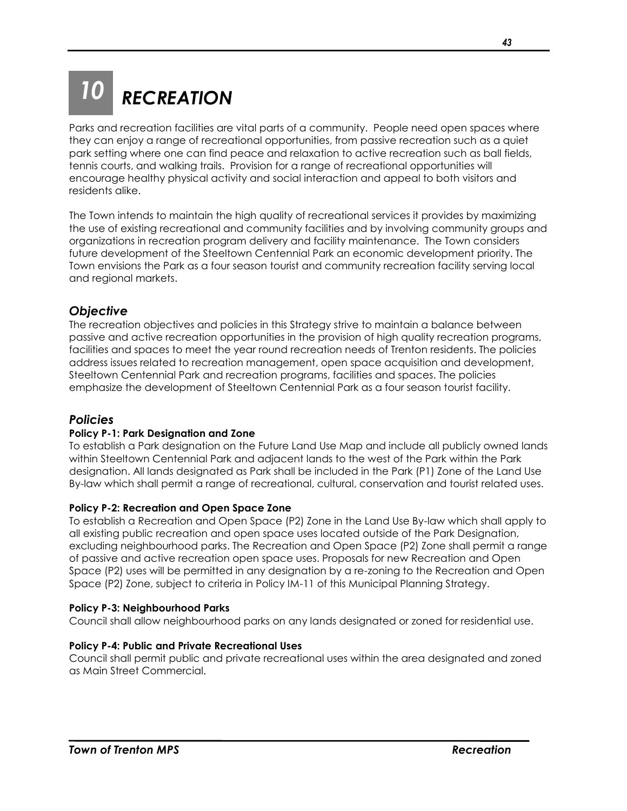## <span id="page-44-0"></span>*10 RECREATION*

Parks and recreation facilities are vital parts of a community. People need open spaces where they can enjoy a range of recreational opportunities, from passive recreation such as a quiet park setting where one can find peace and relaxation to active recreation such as ball fields, tennis courts, and walking trails. Provision for a range of recreational opportunities will encourage healthy physical activity and social interaction and appeal to both visitors and residents alike.

The Town intends to maintain the high quality of recreational services it provides by maximizing the use of existing recreational and community facilities and by involving community groups and organizations in recreation program delivery and facility maintenance. The Town considers future development of the Steeltown Centennial Park an economic development priority. The Town envisions the Park as a four season tourist and community recreation facility serving local and regional markets.

## <span id="page-44-1"></span>*Objective*

The recreation objectives and policies in this Strategy strive to maintain a balance between passive and active recreation opportunities in the provision of high quality recreation programs, facilities and spaces to meet the year round recreation needs of Trenton residents. The policies address issues related to recreation management, open space acquisition and development, Steeltown Centennial Park and recreation programs, facilities and spaces. The policies emphasize the development of Steeltown Centennial Park as a four season tourist facility.

## <span id="page-44-2"></span>*Policies*

## **Policy P-1: Park Designation and Zone**

To establish a Park designation on the Future Land Use Map and include all publicly owned lands within Steeltown Centennial Park and adjacent lands to the west of the Park within the Park designation. All lands designated as Park shall be included in the Park (P1) Zone of the Land Use By-law which shall permit a range of recreational, cultural, conservation and tourist related uses.

## **Policy P-2: Recreation and Open Space Zone**

To establish a Recreation and Open Space (P2) Zone in the Land Use By-law which shall apply to all existing public recreation and open space uses located outside of the Park Designation, excluding neighbourhood parks. The Recreation and Open Space (P2) Zone shall permit a range of passive and active recreation open space uses. Proposals for new Recreation and Open Space (P2) uses will be permitted in any designation by a re-zoning to the Recreation and Open Space (P2) Zone, subject to criteria in Policy IM-11 of this Municipal Planning Strategy.

#### **Policy P-3: Neighbourhood Parks**

Council shall allow neighbourhood parks on any lands designated or zoned for residential use.

## **Policy P-4: Public and Private Recreational Uses**

Council shall permit public and private recreational uses within the area designated and zoned as Main Street Commercial.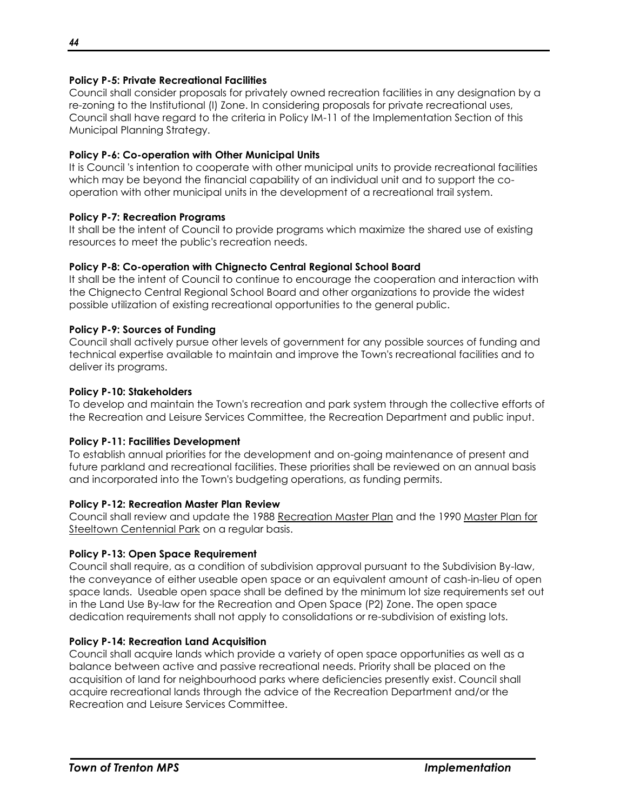## **Policy P-5: Private Recreational Facilities**

Council shall consider proposals for privately owned recreation facilities in any designation by a re-zoning to the Institutional (I) Zone. In considering proposals for private recreational uses, Council shall have regard to the criteria in Policy IM-11 of the Implementation Section of this Municipal Planning Strategy.

#### **Policy P-6: Co-operation with Other Municipal Units**

It is Council 's intention to cooperate with other municipal units to provide recreational facilities which may be beyond the financial capability of an individual unit and to support the cooperation with other municipal units in the development of a recreational trail system.

#### **Policy P-7: Recreation Programs**

It shall be the intent of Council to provide programs which maximize the shared use of existing resources to meet the public's recreation needs.

#### **Policy P-8: Co-operation with Chignecto Central Regional School Board**

It shall be the intent of Council to continue to encourage the cooperation and interaction with the Chignecto Central Regional School Board and other organizations to provide the widest possible utilization of existing recreational opportunities to the general public.

#### **Policy P-9: Sources of Funding**

Council shall actively pursue other levels of government for any possible sources of funding and technical expertise available to maintain and improve the Town's recreational facilities and to deliver its programs.

#### **Policy P-10: Stakeholders**

To develop and maintain the Town's recreation and park system through the collective efforts of the Recreation and Leisure Services Committee, the Recreation Department and public input.

#### **Policy P-11: Facilities Development**

To establish annual priorities for the development and on-going maintenance of present and future parkland and recreational facilities. These priorities shall be reviewed on an annual basis and incorporated into the Town's budgeting operations, as funding permits.

#### **Policy P-12: Recreation Master Plan Review**

Council shall review and update the 1988 Recreation Master Plan and the 1990 Master Plan for Steeltown Centennial Park on a regular basis.

## **Policy P-13: Open Space Requirement**

Council shall require, as a condition of subdivision approval pursuant to the Subdivision By-law, the conveyance of either useable open space or an equivalent amount of cash-in-lieu of open space lands. Useable open space shall be defined by the minimum lot size requirements set out in the Land Use By-law for the Recreation and Open Space (P2) Zone. The open space dedication requirements shall not apply to consolidations or re-subdivision of existing lots.

#### **Policy P-14: Recreation Land Acquisition**

Council shall acquire lands which provide a variety of open space opportunities as well as a balance between active and passive recreational needs. Priority shall be placed on the acquisition of land for neighbourhood parks where deficiencies presently exist. Council shall acquire recreational lands through the advice of the Recreation Department and/or the Recreation and Leisure Services Committee.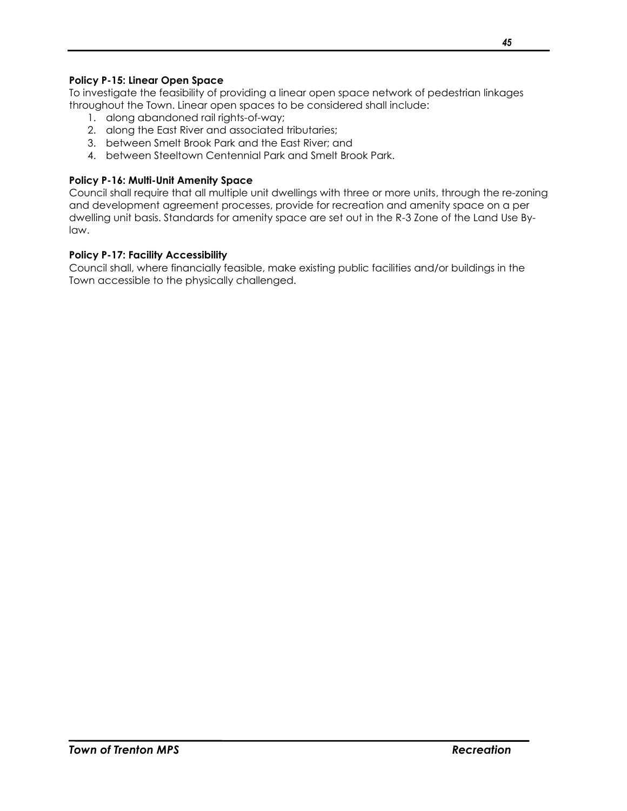## **Policy P-15: Linear Open Space**

To investigate the feasibility of providing a linear open space network of pedestrian linkages throughout the Town. Linear open spaces to be considered shall include:

- 1. along abandoned rail rights-of-way;
- 2. along the East River and associated tributaries;
- 3. between Smelt Brook Park and the East River; and
- 4. between Steeltown Centennial Park and Smelt Brook Park.

## **Policy P-16: Multi-Unit Amenity Space**

Council shall require that all multiple unit dwellings with three or more units, through the re-zoning and development agreement processes, provide for recreation and amenity space on a per dwelling unit basis. Standards for amenity space are set out in the R-3 Zone of the Land Use Bylaw.

## **Policy P-17: Facility Accessibility**

Council shall, where financially feasible, make existing public facilities and/or buildings in the Town accessible to the physically challenged.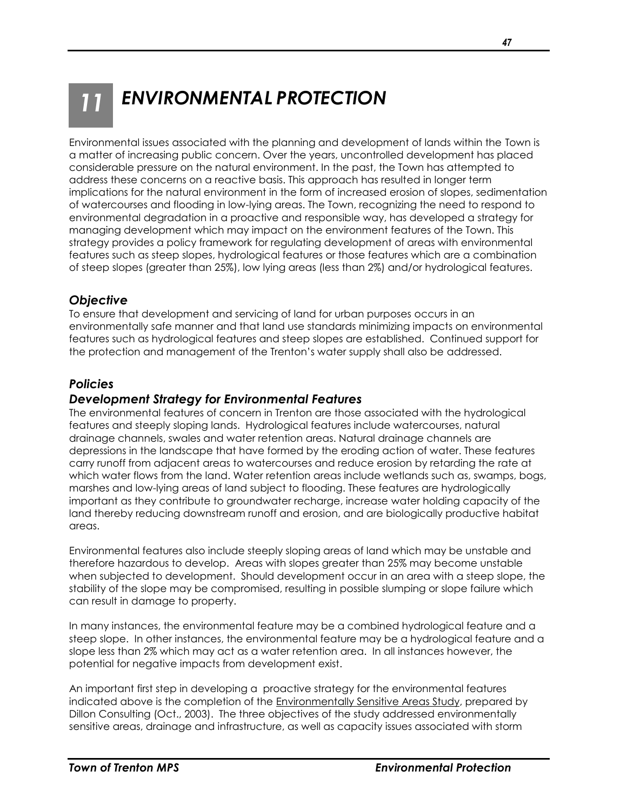## <span id="page-48-0"></span>*11 ENVIRONMENTAL PROTECTION*

Environmental issues associated with the planning and development of lands within the Town is a matter of increasing public concern. Over the years, uncontrolled development has placed considerable pressure on the natural environment. In the past, the Town has attempted to address these concerns on a reactive basis. This approach has resulted in longer term implications for the natural environment in the form of increased erosion of slopes, sedimentation of watercourses and flooding in low-lying areas. The Town, recognizing the need to respond to environmental degradation in a proactive and responsible way, has developed a strategy for managing development which may impact on the environment features of the Town. This strategy provides a policy framework for regulating development of areas with environmental features such as steep slopes, hydrological features or those features which are a combination of steep slopes (greater than 25%), low lying areas (less than 2%) and/or hydrological features.

## <span id="page-48-1"></span>*Objective*

To ensure that development and servicing of land for urban purposes occurs in an environmentally safe manner and that land use standards minimizing impacts on environmental features such as hydrological features and steep slopes are established. Continued support for the protection and management of the Trenton's water supply shall also be addressed.

## <span id="page-48-2"></span>*Policies*

## <span id="page-48-3"></span>*Development Strategy for Environmental Features*

The environmental features of concern in Trenton are those associated with the hydrological features and steeply sloping lands. Hydrological features include watercourses, natural drainage channels, swales and water retention areas. Natural drainage channels are depressions in the landscape that have formed by the eroding action of water. These features carry runoff from adjacent areas to watercourses and reduce erosion by retarding the rate at which water flows from the land. Water retention areas include wetlands such as, swamps, bogs, marshes and low-lying areas of land subject to flooding. These features are hydrologically important as they contribute to groundwater recharge, increase water holding capacity of the land thereby reducing downstream runoff and erosion, and are biologically productive habitat areas.

Environmental features also include steeply sloping areas of land which may be unstable and therefore hazardous to develop. Areas with slopes greater than 25% may become unstable when subjected to development. Should development occur in an area with a steep slope, the stability of the slope may be compromised, resulting in possible slumping or slope failure which can result in damage to property.

In many instances, the environmental feature may be a combined hydrological feature and a steep slope. In other instances, the environmental feature may be a hydrological feature and a slope less than 2% which may act as a water retention area. In all instances however, the potential for negative impacts from development exist.

An important first step in developing a proactive strategy for the environmental features indicated above is the completion of the Environmentally Sensitive Areas Study, prepared by Dillon Consulting (Oct., 2003). The three objectives of the study addressed environmentally sensitive areas, drainage and infrastructure, as well as capacity issues associated with storm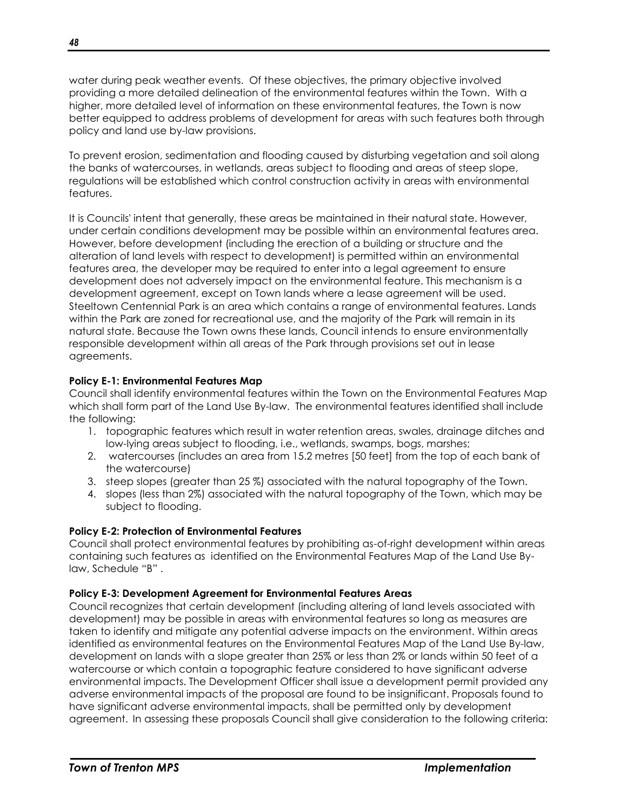water during peak weather events. Of these objectives, the primary objective involved providing a more detailed delineation of the environmental features within the Town. With a higher, more detailed level of information on these environmental features, the Town is now better equipped to address problems of development for areas with such features both through policy and land use by-law provisions.

To prevent erosion, sedimentation and flooding caused by disturbing vegetation and soil along the banks of watercourses, in wetlands, areas subject to flooding and areas of steep slope, regulations will be established which control construction activity in areas with environmental features.

It is Councils' intent that generally, these areas be maintained in their natural state. However, under certain conditions development may be possible within an environmental features area. However, before development (including the erection of a building or structure and the alteration of land levels with respect to development) is permitted within an environmental features area, the developer may be required to enter into a legal agreement to ensure development does not adversely impact on the environmental feature. This mechanism is a development agreement, except on Town lands where a lease agreement will be used. Steeltown Centennial Park is an area which contains a range of environmental features. Lands within the Park are zoned for recreational use, and the majority of the Park will remain in its natural state. Because the Town owns these lands, Council intends to ensure environmentally responsible development within all areas of the Park through provisions set out in lease agreements.

## **Policy E-1: Environmental Features Map**

Council shall identify environmental features within the Town on the Environmental Features Map which shall form part of the Land Use By-law. The environmental features identified shall include the following:

- 1. topographic features which result in water retention areas, swales, drainage ditches and low-lying areas subject to flooding, i.e., wetlands, swamps, bogs, marshes;
- 2. watercourses (includes an area from 15.2 metres [50 feet] from the top of each bank of the watercourse)
- 3. steep slopes (greater than 25 %) associated with the natural topography of the Town.
- 4. slopes (less than 2%) associated with the natural topography of the Town, which may be subject to flooding.

#### **Policy E-2: Protection of Environmental Features**

Council shall protect environmental features by prohibiting as-of-right development within areas containing such features as identified on the Environmental Features Map of the Land Use Bylaw, Schedule "B" .

#### **Policy E-3: Development Agreement for Environmental Features Areas**

Council recognizes that certain development (including altering of land levels associated with development) may be possible in areas with environmental features so long as measures are taken to identify and mitigate any potential adverse impacts on the environment. Within areas identified as environmental features on the Environmental Features Map of the Land Use By-law, development on lands with a slope greater than 25% or less than 2% or lands within 50 feet of a watercourse or which contain a topographic feature considered to have significant adverse environmental impacts. The Development Officer shall issue a development permit provided any adverse environmental impacts of the proposal are found to be insignificant. Proposals found to have significant adverse environmental impacts, shall be permitted only by development agreement.In assessing these proposals Council shall give consideration to the following criteria: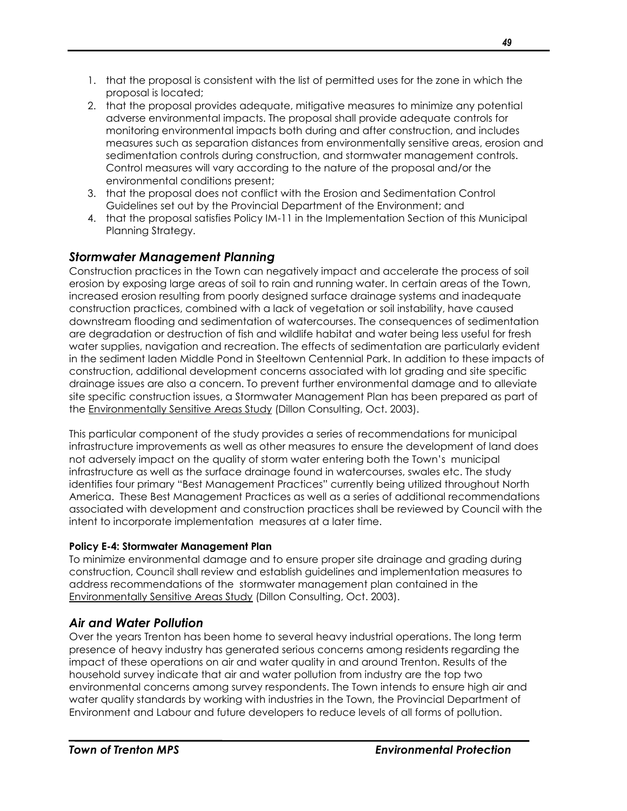- 1. that the proposal is consistent with the list of permitted uses for the zone in which the proposal is located;
- 2. that the proposal provides adequate, mitigative measures to minimize any potential adverse environmental impacts. The proposal shall provide adequate controls for monitoring environmental impacts both during and after construction, and includes measures such as separation distances from environmentally sensitive areas, erosion and sedimentation controls during construction, and stormwater management controls. Control measures will vary according to the nature of the proposal and/or the environmental conditions present;
- 3. that the proposal does not conflict with the Erosion and Sedimentation Control Guidelines set out by the Provincial Department of the Environment; and
- 4. that the proposal satisfies Policy IM-11 in the Implementation Section of this Municipal Planning Strategy.

## <span id="page-50-0"></span>*Stormwater Management Planning*

Construction practices in the Town can negatively impact and accelerate the process of soil erosion by exposing large areas of soil to rain and running water. In certain areas of the Town, increased erosion resulting from poorly designed surface drainage systems and inadequate construction practices, combined with a lack of vegetation or soil instability, have caused downstream flooding and sedimentation of watercourses. The consequences of sedimentation are degradation or destruction of fish and wildlife habitat and water being less useful for fresh water supplies, navigation and recreation. The effects of sedimentation are particularly evident in the sediment laden Middle Pond in Steeltown Centennial Park. In addition to these impacts of construction, additional development concerns associated with lot grading and site specific drainage issues are also a concern. To prevent further environmental damage and to alleviate site specific construction issues, a Stormwater Management Plan has been prepared as part of the Environmentally Sensitive Areas Study (Dillon Consulting, Oct. 2003).

This particular component of the study provides a series of recommendations for municipal infrastructure improvements as well as other measures to ensure the development of land does not adversely impact on the quality of storm water entering both the Town's municipal infrastructure as well as the surface drainage found in watercourses, swales etc. The study identifies four primary "Best Management Practices" currently being utilized throughout North America. These Best Management Practices as well as a series of additional recommendations associated with development and construction practices shall be reviewed by Council with the intent to incorporate implementation measures at a later time.

## **Policy E-4: Stormwater Management Plan**

To minimize environmental damage and to ensure proper site drainage and grading during construction, Council shall review and establish guidelines and implementation measures to address recommendations of the stormwater management plan contained in the Environmentally Sensitive Areas Study (Dillon Consulting, Oct. 2003).

## <span id="page-50-1"></span>*Air and Water Pollution*

Over the years Trenton has been home to several heavy industrial operations. The long term presence of heavy industry has generated serious concerns among residents regarding the impact of these operations on air and water quality in and around Trenton. Results of the household survey indicate that air and water pollution from industry are the top two environmental concerns among survey respondents. The Town intends to ensure high air and water quality standards by working with industries in the Town, the Provincial Department of Environment and Labour and future developers to reduce levels of all forms of pollution.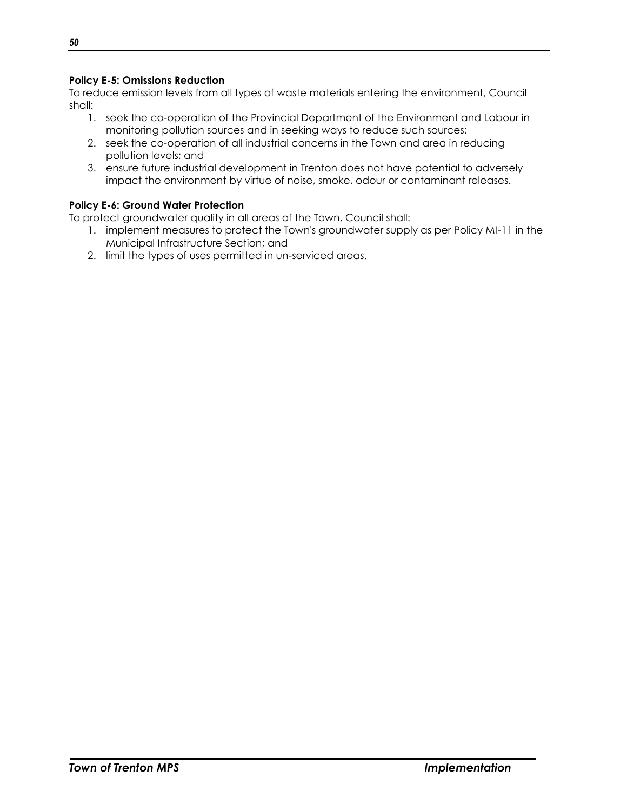## **Policy E-5: Omissions Reduction**

To reduce emission levels from all types of waste materials entering the environment, Council shall:

- 1. seek the co-operation of the Provincial Department of the Environment and Labour in monitoring pollution sources and in seeking ways to reduce such sources;
- 2. seek the co-operation of all industrial concerns in the Town and area in reducing pollution levels; and
- 3. ensure future industrial development in Trenton does not have potential to adversely impact the environment by virtue of noise, smoke, odour or contaminant releases.

#### **Policy E-6: Ground Water Protection**

To protect groundwater quality in all areas of the Town, Council shall:

- 1. implement measures to protect the Town's groundwater supply as per Policy MI-11 in the Municipal Infrastructure Section; and
- 2. limit the types of uses permitted in un-serviced areas.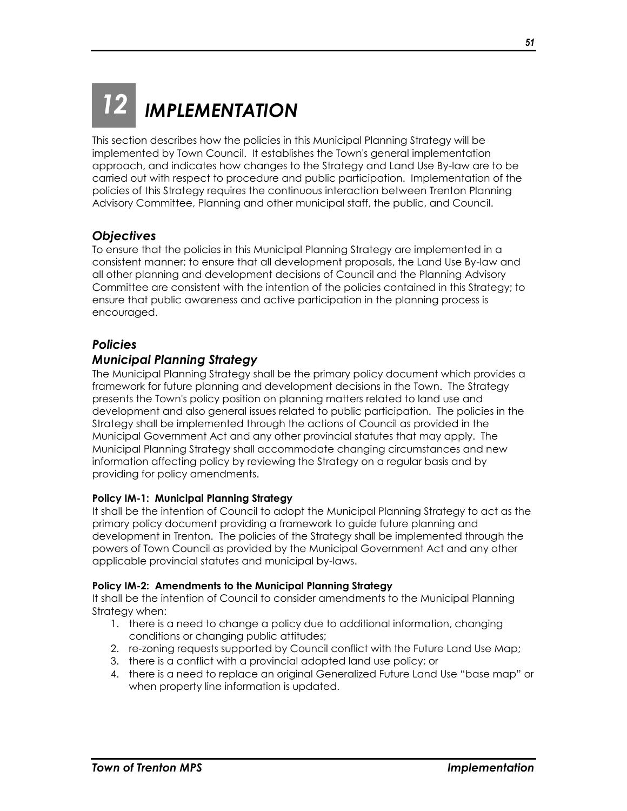## <span id="page-52-0"></span>*12 IMPLEMENTATION*

This section describes how the policies in this Municipal Planning Strategy will be implemented by Town Council. It establishes the Town's general implementation approach, and indicates how changes to the Strategy and Land Use By-law are to be carried out with respect to procedure and public participation. Implementation of the policies of this Strategy requires the continuous interaction between Trenton Planning Advisory Committee, Planning and other municipal staff, the public, and Council.

## <span id="page-52-1"></span>*Objectives*

To ensure that the policies in this Municipal Planning Strategy are implemented in a consistent manner; to ensure that all development proposals, the Land Use By-law and all other planning and development decisions of Council and the Planning Advisory Committee are consistent with the intention of the policies contained in this Strategy; to ensure that public awareness and active participation in the planning process is encouraged.

## <span id="page-52-2"></span>*Policies*

## <span id="page-52-3"></span>*Municipal Planning Strategy*

The Municipal Planning Strategy shall be the primary policy document which provides a framework for future planning and development decisions in the Town. The Strategy presents the Town's policy position on planning matters related to land use and development and also general issues related to public participation. The policies in the Strategy shall be implemented through the actions of Council as provided in the Municipal Government Act and any other provincial statutes that may apply. The Municipal Planning Strategy shall accommodate changing circumstances and new information affecting policy by reviewing the Strategy on a regular basis and by providing for policy amendments.

## **Policy IM-1: Municipal Planning Strategy**

It shall be the intention of Council to adopt the Municipal Planning Strategy to act as the primary policy document providing a framework to guide future planning and development in Trenton. The policies of the Strategy shall be implemented through the powers of Town Council as provided by the Municipal Government Act and any other applicable provincial statutes and municipal by-laws.

#### **Policy IM-2: Amendments to the Municipal Planning Strategy**

It shall be the intention of Council to consider amendments to the Municipal Planning Strategy when:

- 1. there is a need to change a policy due to additional information, changing conditions or changing public attitudes;
- 2. re-zoning requests supported by Council conflict with the Future Land Use Map;
- 3. there is a conflict with a provincial adopted land use policy; or
- 4. there is a need to replace an original Generalized Future Land Use "base map" or when property line information is updated.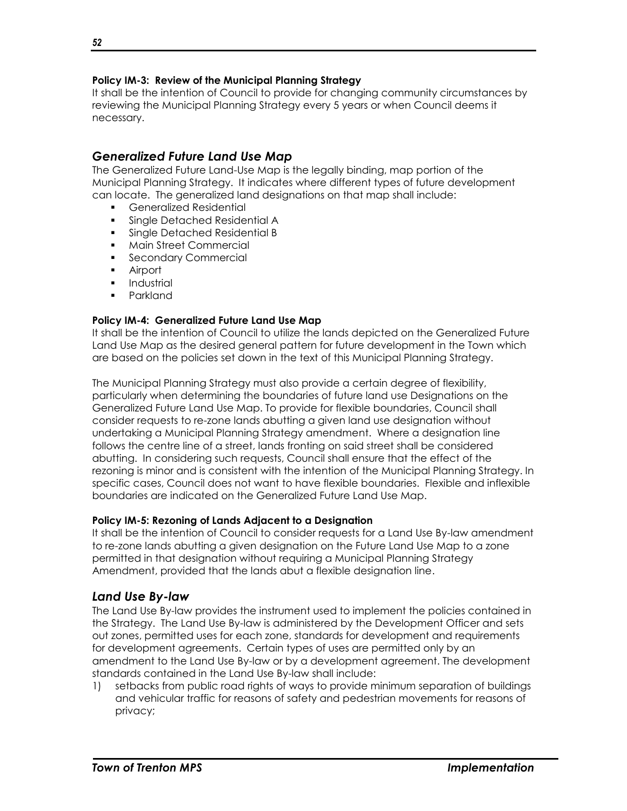#### **Policy IM-3: Review of the Municipal Planning Strategy**

It shall be the intention of Council to provide for changing community circumstances by reviewing the Municipal Planning Strategy every 5 years or when Council deems it necessary.

## <span id="page-53-0"></span>*Generalized Future Land Use Map*

The Generalized Future Land-Use Map is the legally binding, map portion of the Municipal Planning Strategy. It indicates where different types of future development can locate. The generalized land designations on that map shall include:

- Generalized Residential
- **Single Detached Residential A**
- Single Detached Residential B
- Main Street Commercial
- **Secondary Commercial**
- **Airport**
- **Industrial**
- **Parkland**

#### **Policy IM-4: Generalized Future Land Use Map**

It shall be the intention of Council to utilize the lands depicted on the Generalized Future Land Use Map as the desired general pattern for future development in the Town which are based on the policies set down in the text of this Municipal Planning Strategy.

The Municipal Planning Strategy must also provide a certain degree of flexibility, particularly when determining the boundaries of future land use Designations on the Generalized Future Land Use Map. To provide for flexible boundaries, Council shall consider requests to re-zone lands abutting a given land use designation without undertaking a Municipal Planning Strategy amendment. Where a designation line follows the centre line of a street, lands fronting on said street shall be considered abutting. In considering such requests, Council shall ensure that the effect of the rezoning is minor and is consistent with the intention of the Municipal Planning Strategy. In specific cases, Council does not want to have flexible boundaries. Flexible and inflexible boundaries are indicated on the Generalized Future Land Use Map.

#### **Policy IM-5: Rezoning of Lands Adjacent to a Designation**

It shall be the intention of Council to consider requests for a Land Use By-law amendment to re-zone lands abutting a given designation on the Future Land Use Map to a zone permitted in that designation without requiring a Municipal Planning Strategy Amendment, provided that the lands abut a flexible designation line.

## <span id="page-53-1"></span>*Land Use By-law*

The Land Use By-law provides the instrument used to implement the policies contained in the Strategy. The Land Use By-law is administered by the Development Officer and sets out zones, permitted uses for each zone, standards for development and requirements for development agreements. Certain types of uses are permitted only by an amendment to the Land Use By-law or by a development agreement. The development standards contained in the Land Use By-law shall include:

1) setbacks from public road rights of ways to provide minimum separation of buildings and vehicular traffic for reasons of safety and pedestrian movements for reasons of privacy;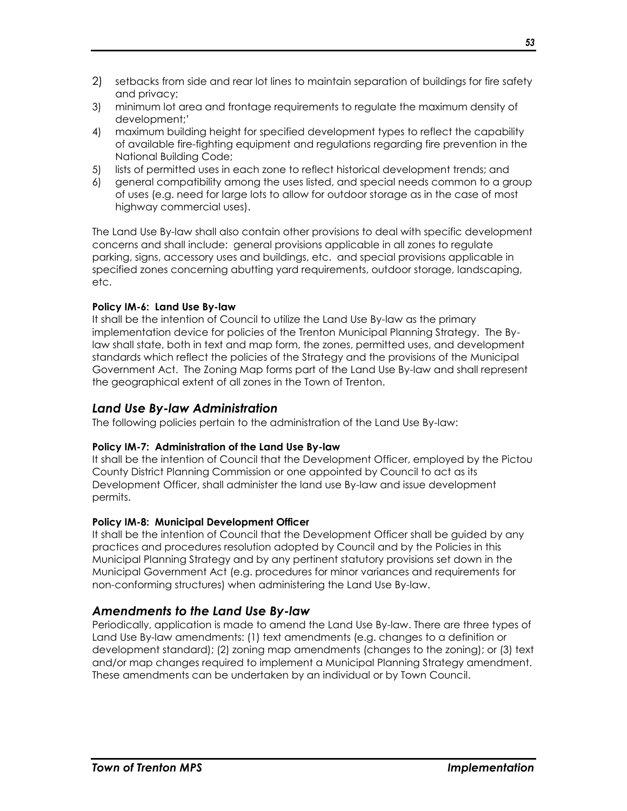- 2) setbacks from side and rear lot lines to maintain separation of buildings for fire safety and privacy;
- 3) minimum lot area and frontage requirements to regulate the maximum density of development;'
- 4) maximum building height for specified development types to reflect the capability of available fire-fighting equipment and regulations regarding fire prevention in the National Building Code;
- 5) lists of permitted uses in each zone to reflect historical development trends; and
- 6) general compatibility among the uses listed, and special needs common to a group of uses (e.g. need for large lots to allow for outdoor storage as in the case of most highway commercial uses).

The Land Use By-law shall also contain other provisions to deal with specific development concerns and shall include: general provisions applicable in all zones to regulate parking, signs, accessory uses and buildings, etc. and special provisions applicable in specified zones concerning abutting yard requirements, outdoor storage, landscaping, etc.

#### **Policy IM-6: Land Use By-law**

It shall be the intention of Council to utilize the Land Use By-law as the primary implementation device for policies of the Trenton Municipal Planning Strategy. The Bylaw shall state, both in text and map form, the zones, permitted uses, and development standards which reflect the policies of the Strategy and the provisions of the Municipal Government Act. The Zoning Map forms part of the Land Use By-law and shall represent the geographical extent of all zones in the Town of Trenton.

## <span id="page-54-0"></span>*Land Use By-law Administration*

The following policies pertain to the administration of the Land Use By-law:

## **Policy IM-7: Administration of the Land Use By-law**

It shall be the intention of Council that the Development Officer, employed by the Pictou County District Planning Commission or one appointed by Council to act as its Development Officer, shall administer the land use By-law and issue development permits.

## **Policy IM-8: Municipal Development Officer**

It shall be the intention of Council that the Development Officer shall be guided by any practices and procedures resolution adopted by Council and by the Policies in this Municipal Planning Strategy and by any pertinent statutory provisions set down in the Municipal Government Act (e.g. procedures for minor variances and requirements for non-conforming structures) when administering the Land Use By-law.

## <span id="page-54-1"></span>*Amendments to the Land Use By-law*

Periodically, application is made to amend the Land Use By-law. There are three types of Land Use By-law amendments: (1) text amendments (e.g. changes to a definition or development standard); (2) zoning map amendments (changes to the zoning); or (3) text and/or map changes required to implement a Municipal Planning Strategy amendment. These amendments can be undertaken by an individual or by Town Council.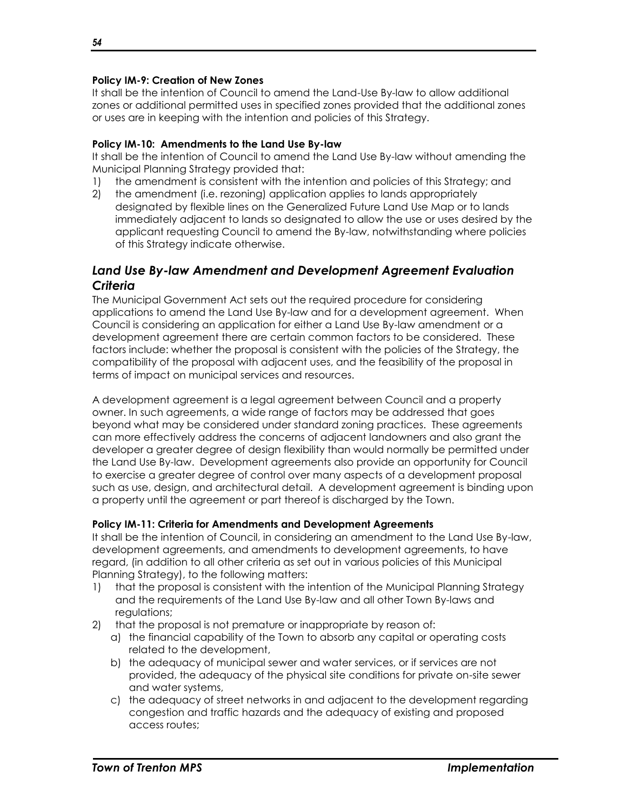#### **Policy IM-9: Creation of New Zones**

It shall be the intention of Council to amend the Land-Use By-law to allow additional zones or additional permitted uses in specified zones provided that the additional zones or uses are in keeping with the intention and policies of this Strategy.

#### **Policy IM-10: Amendments to the Land Use By-law**

It shall be the intention of Council to amend the Land Use By-law without amending the Municipal Planning Strategy provided that:

- 1) the amendment is consistent with the intention and policies of this Strategy; and
- 2) the amendment (i.e. rezoning) application applies to lands appropriately designated by flexible lines on the Generalized Future Land Use Map or to lands immediately adjacent to lands so designated to allow the use or uses desired by the applicant requesting Council to amend the By-law, notwithstanding where policies of this Strategy indicate otherwise.

## <span id="page-55-0"></span>*Land Use By-law Amendment and Development Agreement Evaluation Criteria*

The Municipal Government Act sets out the required procedure for considering applications to amend the Land Use By-law and for a development agreement. When Council is considering an application for either a Land Use By-law amendment or a development agreement there are certain common factors to be considered. These factors include: whether the proposal is consistent with the policies of the Strategy, the compatibility of the proposal with adjacent uses, and the feasibility of the proposal in terms of impact on municipal services and resources.

A development agreement is a legal agreement between Council and a property owner. In such agreements, a wide range of factors may be addressed that goes beyond what may be considered under standard zoning practices. These agreements can more effectively address the concerns of adjacent landowners and also grant the developer a greater degree of design flexibility than would normally be permitted under the Land Use By-law. Development agreements also provide an opportunity for Council to exercise a greater degree of control over many aspects of a development proposal such as use, design, and architectural detail. A development agreement is binding upon a property until the agreement or part thereof is discharged by the Town.

#### **Policy IM-11: Criteria for Amendments and Development Agreements**

It shall be the intention of Council, in considering an amendment to the Land Use By-law, development agreements, and amendments to development agreements, to have regard, (in addition to all other criteria as set out in various policies of this Municipal Planning Strategy), to the following matters:

- 1) that the proposal is consistent with the intention of the Municipal Planning Strategy and the requirements of the Land Use By-law and all other Town By-laws and regulations;
- 2) that the proposal is not premature or inappropriate by reason of:
	- a) the financial capability of the Town to absorb any capital or operating costs related to the development,
	- b) the adequacy of municipal sewer and water services, or if services are not provided, the adequacy of the physical site conditions for private on-site sewer and water systems,
	- c) the adequacy of street networks in and adjacent to the development regarding congestion and traffic hazards and the adequacy of existing and proposed access routes;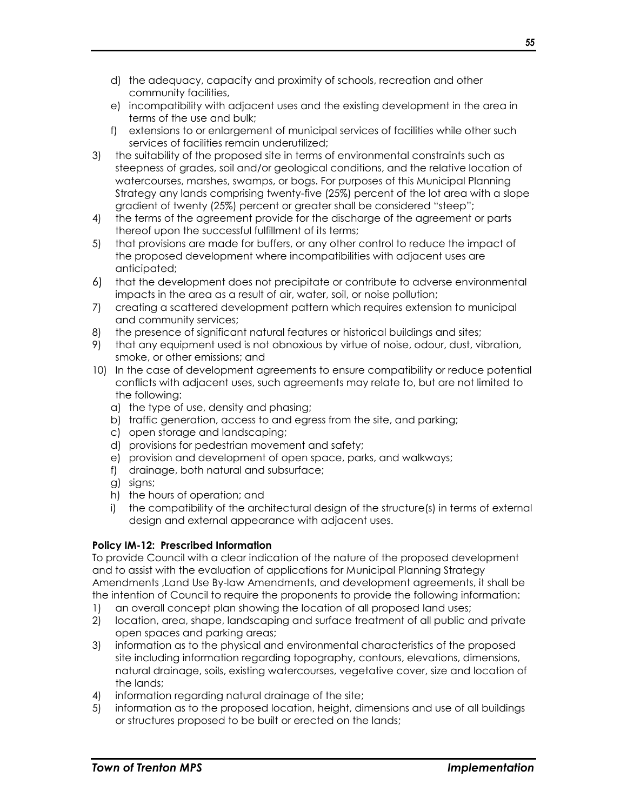- d) the adequacy, capacity and proximity of schools, recreation and other community facilities,
- e) incompatibility with adjacent uses and the existing development in the area in terms of the use and bulk;
- f) extensions to or enlargement of municipal services of facilities while other such services of facilities remain underutilized;
- 3) the suitability of the proposed site in terms of environmental constraints such as steepness of grades, soil and/or geological conditions, and the relative location of watercourses, marshes, swamps, or bogs. For purposes of this Municipal Planning Strategy any lands comprising twenty-five (25%) percent of the lot area with a slope gradient of twenty (25%) percent or greater shall be considered "steep";
- 4) the terms of the agreement provide for the discharge of the agreement or parts thereof upon the successful fulfillment of its terms;
- 5) that provisions are made for buffers, or any other control to reduce the impact of the proposed development where incompatibilities with adjacent uses are anticipated;
- 6) that the development does not precipitate or contribute to adverse environmental impacts in the area as a result of air, water, soil, or noise pollution;
- 7) creating a scattered development pattern which requires extension to municipal and community services;
- 8) the presence of significant natural features or historical buildings and sites;
- 9) that any equipment used is not obnoxious by virtue of noise, odour, dust, vibration, smoke, or other emissions; and
- 10) In the case of development agreements to ensure compatibility or reduce potential conflicts with adjacent uses, such agreements may relate to, but are not limited to the following:
	- a) the type of use, density and phasing;
	- b) traffic generation, access to and egress from the site, and parking;
	- c) open storage and landscaping;
	- d) provisions for pedestrian movement and safety;
	- e) provision and development of open space, parks, and walkways;
	- f) drainage, both natural and subsurface;
	- g) signs;
	- h) the hours of operation; and
	- i) the compatibility of the architectural design of the structure(s) in terms of external design and external appearance with adjacent uses.

## **Policy IM-12: Prescribed Information**

To provide Council with a clear indication of the nature of the proposed development and to assist with the evaluation of applications for Municipal Planning Strategy Amendments ,Land Use By-law Amendments, and development agreements, it shall be the intention of Council to require the proponents to provide the following information:

- 1) an overall concept plan showing the location of all proposed land uses;
- 2) location, area, shape, landscaping and surface treatment of all public and private open spaces and parking areas;
- 3) information as to the physical and environmental characteristics of the proposed site including information regarding topography, contours, elevations, dimensions, natural drainage, soils, existing watercourses, vegetative cover, size and location of the lands;
- 4) information regarding natural drainage of the site;
- 5) information as to the proposed location, height, dimensions and use of all buildings or structures proposed to be built or erected on the lands;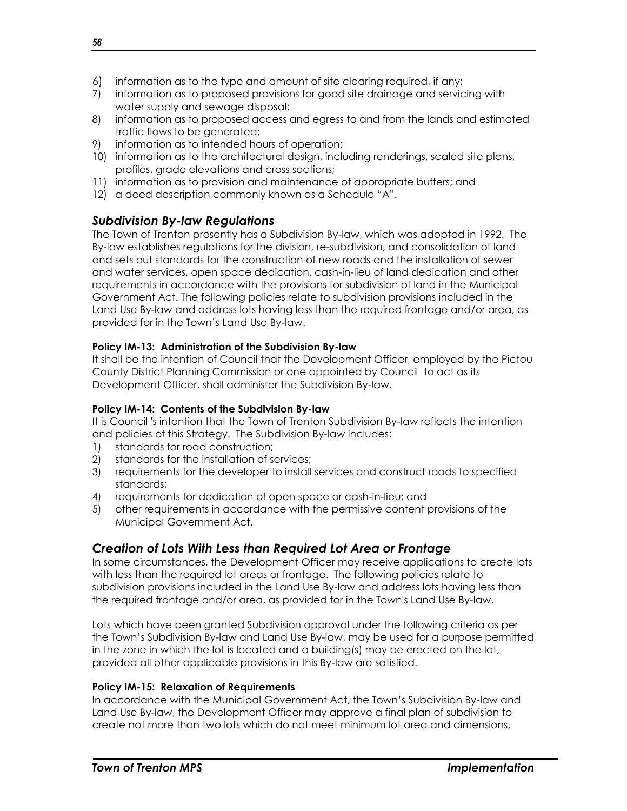- 6) information as to the type and amount of site clearing required, if any;
- 7) information as to proposed provisions for good site drainage and servicing with water supply and sewage disposal;
- 8) information as to proposed access and egress to and from the lands and estimated traffic flows to be generated;
- 9) information as to intended hours of operation;
- 10) information as to the architectural design, including renderings, scaled site plans, profiles, grade elevations and cross sections;
- 11) information as to provision and maintenance of appropriate buffers; and
- 12) a deed description commonly known as a Schedule "A".

## <span id="page-57-0"></span>*Subdivision By-law Regulations*

The Town of Trenton presently has a Subdivision By-law, which was adopted in 1992. The By-law establishes regulations for the division, re-subdivision, and consolidation of land and sets out standards for the construction of new roads and the installation of sewer and water services, open space dedication, cash-in-lieu of land dedication and other requirements in accordance with the provisions for subdivision of land in the Municipal Government Act. The following policies relate to subdivision provisions included in the Land Use By-law and address lots having less than the required frontage and/or area, as provided for in the Town's Land Use By-law.

## **Policy IM-13: Administration of the Subdivision By-law**

It shall be the intention of Council that the Development Officer, employed by the Pictou County District Planning Commission or one appointed by Council to act as its Development Officer, shall administer the Subdivision By-law.

## **Policy IM-14: Contents of the Subdivision By-law**

It is Council 's intention that the Town of Trenton Subdivision By-law reflects the intention and policies of this Strategy. The Subdivision By-law includes:

- 1) standards for road construction;
- 2) standards for the installation of services;
- 3) requirements for the developer to install services and construct roads to specified standards;
- 4) requirements for dedication of open space or cash-in-lieu; and
- 5) other requirements in accordance with the permissive content provisions of the Municipal Government Act.

## <span id="page-57-1"></span>*Creation of Lots With Less than Required Lot Area or Frontage*

In some circumstances, the Development Officer may receive applications to create lots with less than the required lot areas or frontage. The following policies relate to subdivision provisions included in the Land Use By-law and address lots having less than the required frontage and/or area, as provided for in the Town's Land Use By-law.

Lots which have been granted Subdivision approval under the following criteria as per the Town's Subdivision By-law and Land Use By-law, may be used for a purpose permitted in the zone in which the lot is located and a building(s) may be erected on the lot, provided all other applicable provisions in this By-law are satisfied.

## **Policy IM-15: Relaxation of Requirements**

In accordance with the Municipal Government Act, the Town's Subdivision By-law and Land Use By-law, the Development Officer may approve a final plan of subdivision to create not more than two lots which do not meet minimum lot area and dimensions,